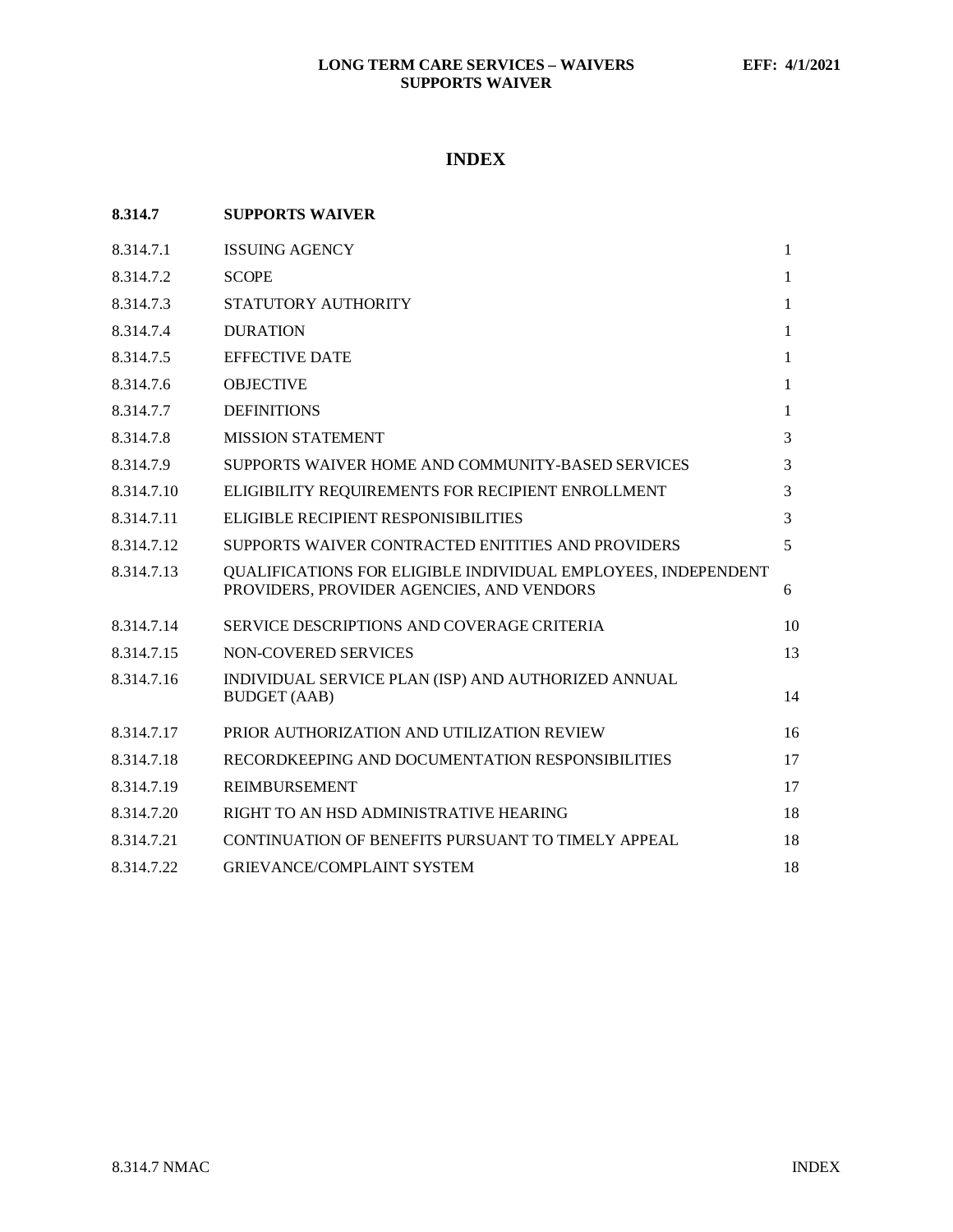# **INDEX**

<span id="page-0-0"></span>

| 8.314.7    | <b>SUPPORTS WAIVER</b>                                                                                     |              |
|------------|------------------------------------------------------------------------------------------------------------|--------------|
| 8.314.7.1  | <b>ISSUING AGENCY</b>                                                                                      | $\mathbf{1}$ |
| 8.314.7.2  | <b>SCOPE</b>                                                                                               | 1            |
| 8.314.7.3  | STATUTORY AUTHORITY                                                                                        | 1            |
| 8.314.7.4  | <b>DURATION</b>                                                                                            | 1            |
| 8.314.7.5  | <b>EFFECTIVE DATE</b>                                                                                      | 1            |
| 8.314.7.6  | <b>OBJECTIVE</b>                                                                                           | 1            |
| 8.314.7.7  | <b>DEFINITIONS</b>                                                                                         | 1            |
| 8.314.7.8  | <b>MISSION STATEMENT</b>                                                                                   | 3            |
| 8.314.7.9  | SUPPORTS WAIVER HOME AND COMMUNITY-BASED SERVICES                                                          | 3            |
| 8.314.7.10 | ELIGIBILITY REQUIREMENTS FOR RECIPIENT ENROLLMENT                                                          | 3            |
| 8.314.7.11 | ELIGIBLE RECIPIENT RESPONISIBILITIES                                                                       | 3            |
| 8.314.7.12 | SUPPORTS WAIVER CONTRACTED ENITITIES AND PROVIDERS                                                         | 5            |
| 8.314.7.13 | QUALIFICATIONS FOR ELIGIBLE INDIVIDUAL EMPLOYEES, INDEPENDENT<br>PROVIDERS, PROVIDER AGENCIES, AND VENDORS | 6            |
| 8.314.7.14 | SERVICE DESCRIPTIONS AND COVERAGE CRITERIA                                                                 | 10           |
| 8.314.7.15 | NON-COVERED SERVICES                                                                                       | 13           |
| 8.314.7.16 | INDIVIDUAL SERVICE PLAN (ISP) AND AUTHORIZED ANNUAL<br><b>BUDGET</b> (AAB)                                 | 14           |
| 8.314.7.17 | PRIOR AUTHORIZATION AND UTILIZATION REVIEW                                                                 | 16           |
| 8.314.7.18 | RECORDKEEPING AND DOCUMENTATION RESPONSIBILITIES                                                           | 17           |
| 8.314.7.19 | <b>REIMBURSEMENT</b>                                                                                       | 17           |
| 8.314.7.20 | RIGHT TO AN HSD ADMINISTRATIVE HEARING                                                                     | 18           |
| 8.314.7.21 | CONTINUATION OF BENEFITS PURSUANT TO TIMELY APPEAL                                                         | 18           |
| 8.314.7.22 | <b>GRIEVANCE/COMPLAINT SYSTEM</b>                                                                          | 18           |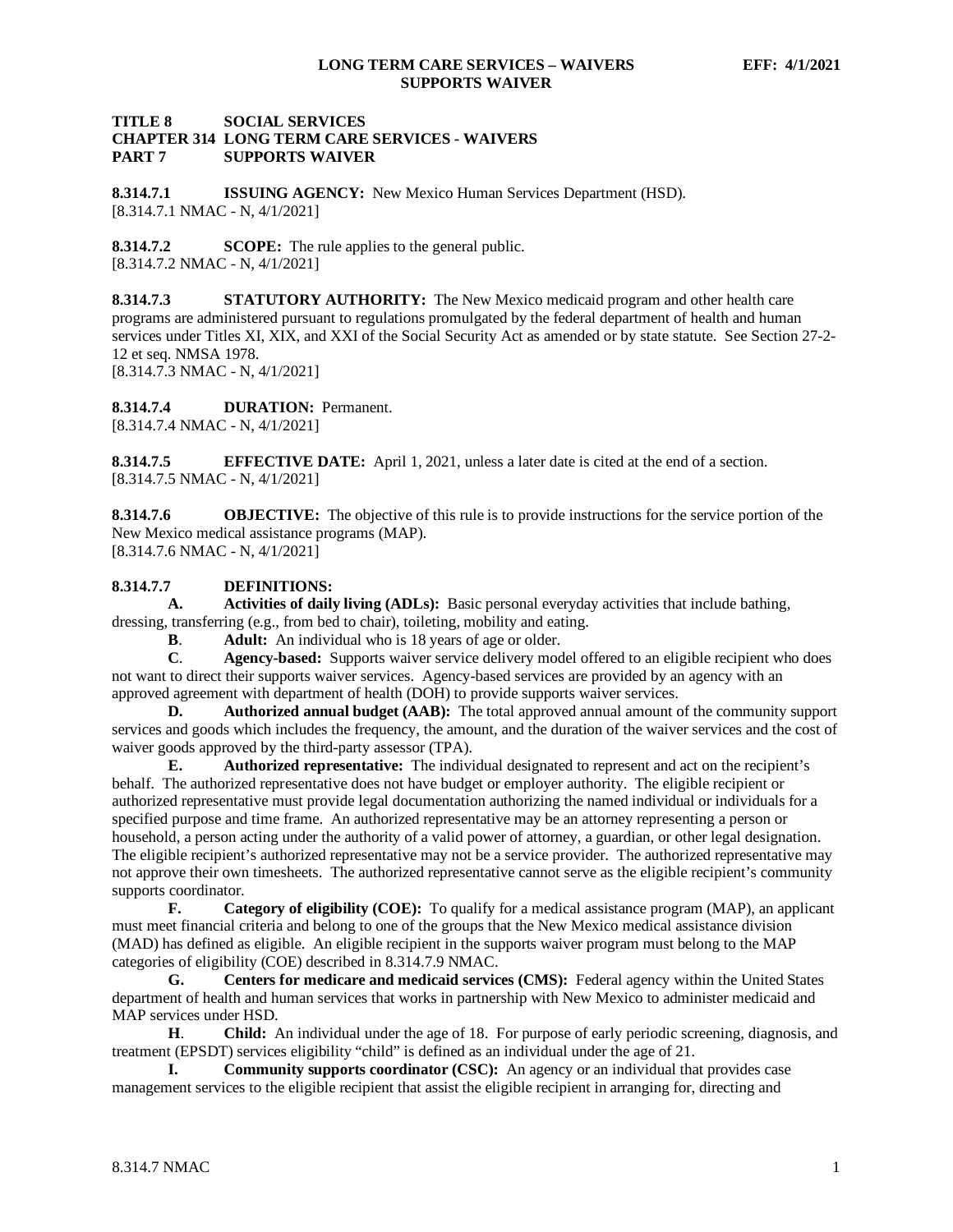## **TITLE 8 SOCIAL SERVICES CHAPTER 314 LONG TERM CARE SERVICES - WAIVERS SUPPORTS WAIVER**

<span id="page-1-0"></span>**8.314.7.1 ISSUING AGENCY:** New Mexico Human Services Department (HSD). [8.314.7.1 NMAC - N, 4/1/2021]

<span id="page-1-1"></span>**8.314.7.2 SCOPE:** The rule applies to the general public. [8.314.7.2 NMAC - N, 4/1/2021]

**8.314.7.3 STATUTORY AUTHORITY:** The New Mexico medicaid program and other health care programs are administered pursuant to regulations promulgated by the federal department of health and human services under Titles XI, XIX, and XXI of the Social Security Act as amended or by state statute. See Section 27-2- 12 et seq. NMSA 1978. [8.314.7.3 NMAC - N, 4/1/2021]

<span id="page-1-2"></span>**8.314.7.4 DURATION:** Permanent. [8.314.7.4 NMAC - N, 4/1/2021]

<span id="page-1-3"></span>**8.314.7.5 EFFECTIVE DATE:** April 1, 2021, unless a later date is cited at the end of a section. [8.314.7.5 NMAC - N, 4/1/2021]

<span id="page-1-4"></span>**8.314.7.6 OBJECTIVE:** The objective of this rule is to provide instructions for the service portion of the New Mexico medical assistance programs (MAP). [8.314.7.6 NMAC - N, 4/1/2021]

## <span id="page-1-5"></span>**8.314.7.7 DEFINITIONS:**

**A. Activities of daily living (ADLs):** Basic personal everyday activities that include bathing, dressing, transferring (e.g., from bed to chair), toileting, mobility and eating.

**B. Adult:** An individual who is 18 years of age or older.<br>**C. Agency-based:** Supports waiver service delivery mod

**C**. **Agency-based:** Supports waiver service delivery model offered to an eligible recipient who does not want to direct their supports waiver services. Agency-based services are provided by an agency with an approved agreement with department of health (DOH) to provide supports waiver services.

**D. Authorized annual budget (AAB):** The total approved annual amount of the community support services and goods which includes the frequency, the amount, and the duration of the waiver services and the cost of waiver goods approved by the third-party assessor (TPA).

**E. Authorized representative:** The individual designated to represent and act on the recipient's behalf. The authorized representative does not have budget or employer authority. The eligible recipient or authorized representative must provide legal documentation authorizing the named individual or individuals for a specified purpose and time frame. An authorized representative may be an attorney representing a person or household, a person acting under the authority of a valid power of attorney, a guardian, or other legal designation. The eligible recipient's authorized representative may not be a service provider. The authorized representative may not approve their own timesheets. The authorized representative cannot serve as the eligible recipient's community supports coordinator.

**F. Category of eligibility (COE):** To qualify for a medical assistance program (MAP), an applicant must meet financial criteria and belong to one of the groups that the New Mexico medical assistance division (MAD) has defined as eligible. An eligible recipient in the supports waiver program must belong to the MAP categories of eligibility (COE) described in 8.314.7.9 NMAC.

**G. Centers for medicare and medicaid services (CMS):** Federal agency within the United States department of health and human services that works in partnership with New Mexico to administer medicaid and MAP services under HSD.

**H**. **Child:** An individual under the age of 18. For purpose of early periodic screening, diagnosis, and treatment (EPSDT) services eligibility "child" is defined as an individual under the age of 21.

**I. Community supports coordinator (CSC):** An agency or an individual that provides case management services to the eligible recipient that assist the eligible recipient in arranging for, directing and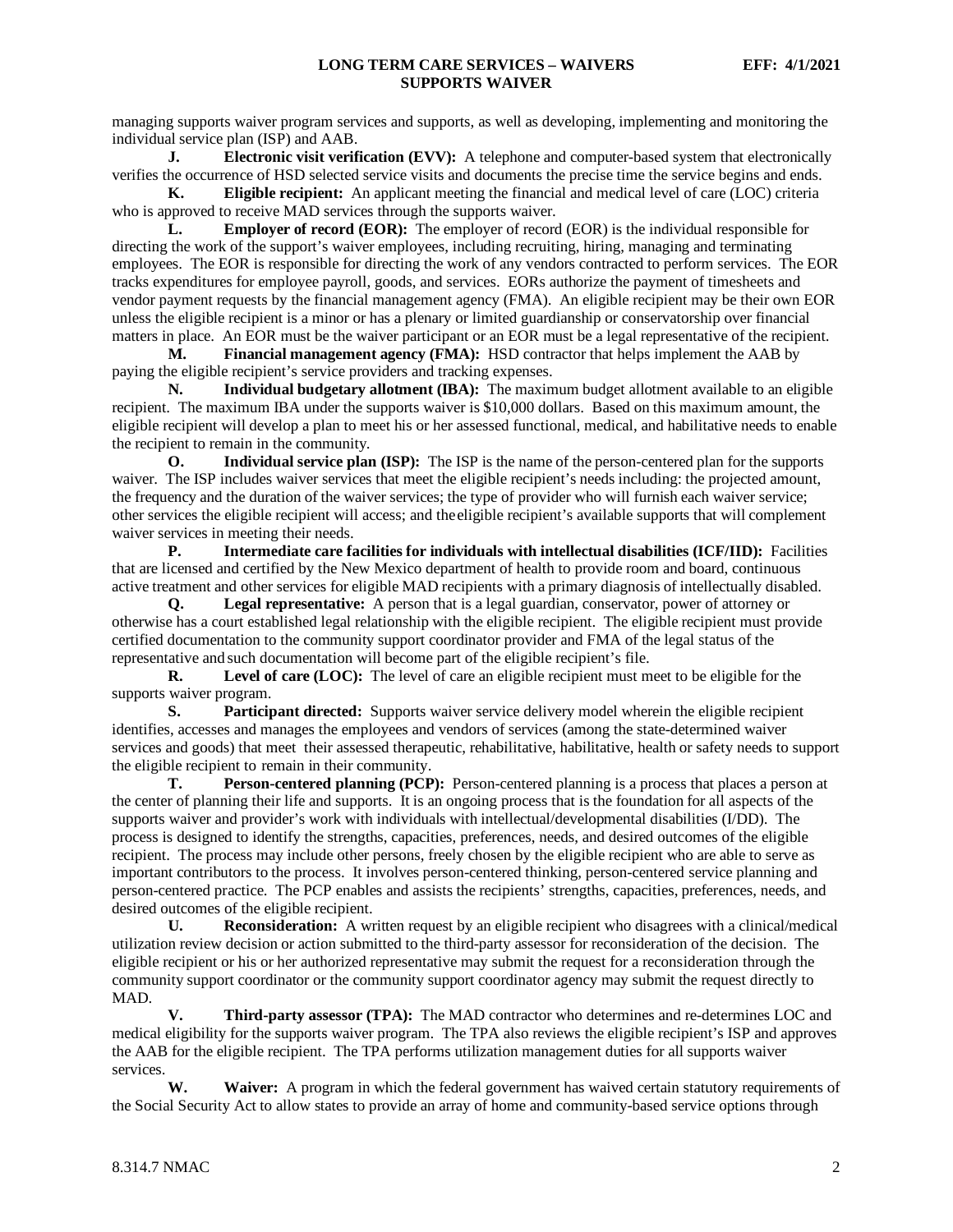managing supports waiver program services and supports, as well as developing, implementing and monitoring the individual service plan (ISP) and AAB.

**J. Electronic visit verification (EVV):** A telephone and computer-based system that electronically verifies the occurrence of HSD selected service visits and documents the precise time the service begins and ends.

**K. Eligible recipient:** An applicant meeting the financial and medical level of care (LOC) criteria who is approved to receive MAD services through the supports waiver.

**L. Employer of record (EOR):** The employer of record (EOR) is the individual responsible for directing the work of the support's waiver employees, including recruiting, hiring, managing and terminating employees. The EOR is responsible for directing the work of any vendors contracted to perform services. The EOR tracks expenditures for employee payroll, goods, and services. EORs authorize the payment of timesheets and vendor payment requests by the financial management agency (FMA). An eligible recipient may be their own EOR unless the eligible recipient is a minor or has a plenary or limited guardianship or conservatorship over financial matters in place. An EOR must be the waiver participant or an EOR must be a legal representative of the recipient.

**M. Financial management agency (FMA):** HSD contractor that helps implement the AAB by paying the eligible recipient's service providers and tracking expenses.

**N. Individual budgetary allotment (IBA):** The maximum budget allotment available to an eligible recipient. The maximum IBA under the supports waiver is \$10,000 dollars. Based on this maximum amount, the eligible recipient will develop a plan to meet his or her assessed functional, medical, and habilitative needs to enable the recipient to remain in the community.

**O. Individual service plan (ISP):** The ISP is the name of the person-centered plan for the supports waiver. The ISP includes waiver services that meet the eligible recipient's needs including: the projected amount, the frequency and the duration of the waiver services; the type of provider who will furnish each waiver service; other services the eligible recipient will access; and theeligible recipient's available supports that will complement waiver services in meeting their needs.

**P. Intermediate care facilities for individuals with intellectual disabilities (ICF/IID):** Facilities that are licensed and certified by the New Mexico department of health to provide room and board, continuous active treatment and other services for eligible MAD recipients with a primary diagnosis of intellectually disabled.

**Q. Legal representative:** A person that is a legal guardian, conservator, power of attorney or otherwise has a court established legal relationship with the eligible recipient. The eligible recipient must provide certified documentation to the community support coordinator provider and FMA of the legal status of the representative and such documentation will become part of the eligible recipient's file.

**R. Level of care (LOC):** The level of care an eligible recipient must meet to be eligible for the supports waiver program.

**S. Participant directed:** Supports waiver service delivery model wherein the eligible recipient identifies, accesses and manages the employees and vendors of services (among the state-determined waiver services and goods) that meet their assessed therapeutic, rehabilitative, habilitative, health or safety needs to support the eligible recipient to remain in their community.

**T. Person-centered planning (PCP):** Person-centered planning is a process that places a person at the center of planning their life and supports. It is an ongoing process that is the foundation for all aspects of the supports waiver and provider's work with individuals with intellectual/developmental disabilities (I/DD). The process is designed to identify the strengths, capacities, preferences, needs, and desired outcomes of the eligible recipient. The process may include other persons, freely chosen by the eligible recipient who are able to serve as important contributors to the process. It involves person-centered thinking, person-centered service planning and person-centered practice. The PCP enables and assists the recipients' strengths, capacities, preferences, needs, and desired outcomes of the eligible recipient.<br>
U. Reconsideration: A wi

**Reconsideration:** A written request by an eligible recipient who disagrees with a clinical/medical utilization review decision or action submitted to the third-party assessor for reconsideration of the decision. The eligible recipient or his or her authorized representative may submit the request for a reconsideration through the community support coordinator or the community support coordinator agency may submit the request directly to MAD.

**V. Third-party assessor (TPA):** The MAD contractor who determines and re-determines LOC and medical eligibility for the supports waiver program. The TPA also reviews the eligible recipient's ISP and approves the AAB for the eligible recipient. The TPA performs utilization management duties for all supports waiver services.

**W. Waiver:** A program in which the federal government has waived certain statutory requirements of the Social Security Act to allow states to provide an array of home and community-based service options through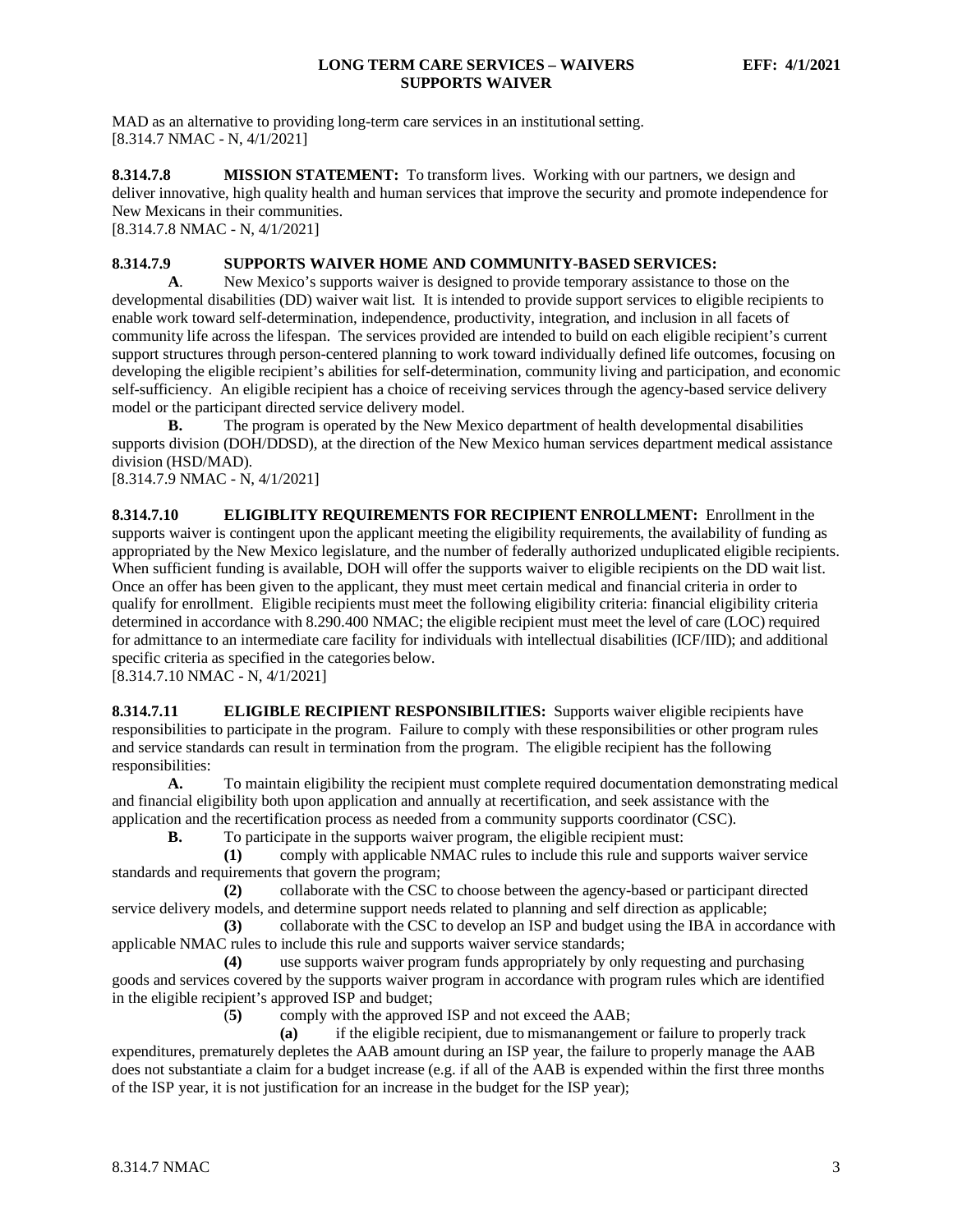MAD as an alternative to providing long-term care services in an institutional setting. [8.314.7 NMAC - N, 4/1/2021]

<span id="page-3-0"></span>**8.314.7.8 MISSION STATEMENT:** To transform lives. Working with our partners, we design and deliver innovative, high quality health and human services that improve the security and promote independence for New Mexicans in their communities.

[8.314.7.8 NMAC - N, 4/1/2021]

#### <span id="page-3-1"></span>**8.314.7.9 SUPPORTS WAIVER HOME AND COMMUNITY-BASED SERVICES:**

**A**. New Mexico's supports waiver is designed to provide temporary assistance to those on the developmental disabilities (DD) waiver wait list. It is intended to provide support services to eligible recipients to enable work toward self-determination, independence, productivity, integration, and inclusion in all facets of community life across the lifespan. The services provided are intended to build on each eligible recipient's current support structures through person-centered planning to work toward individually defined life outcomes, focusing on developing the eligible recipient's abilities for self-determination, community living and participation, and economic self-sufficiency. An eligible recipient has a choice of receiving services through the agency-based service delivery model or the participant directed service delivery model.

**B.** The program is operated by the New Mexico department of health developmental disabilities supports division (DOH/DDSD), at the direction of the New Mexico human services department medical assistance division (HSD/MAD). [8.314.7.9 NMAC - N, 4/1/2021]

<span id="page-3-2"></span>**8.314.7.10 ELIGIBLITY REQUIREMENTS FOR RECIPIENT ENROLLMENT:** Enrollment in the supports waiver is contingent upon the applicant meeting the eligibility requirements, the availability of funding as appropriated by the New Mexico legislature, and the number of federally authorized unduplicated eligible recipients. When sufficient funding is available, DOH will offer the supports waiver to eligible recipients on the DD wait list. Once an offer has been given to the applicant, they must meet certain medical and financial criteria in order to qualify for enrollment. Eligible recipients must meet the following eligibility criteria: financial eligibility criteria determined in accordance with 8.290.400 NMAC; the eligible recipient must meet the level of care (LOC) required for admittance to an intermediate care facility for individuals with intellectual disabilities (ICF/IID); and additional specific criteria as specified in the categories below.

[8.314.7.10 NMAC - N, 4/1/2021]

<span id="page-3-3"></span>**8.314.7.11 ELIGIBLE RECIPIENT RESPONSIBILITIES:** Supports waiver eligible recipients have responsibilities to participate in the program. Failure to comply with these responsibilities or other program rules and service standards can result in termination from the program. The eligible recipient has the following responsibilities:

**A.** To maintain eligibility the recipient must complete required documentation demonstrating medical and financial eligibility both upon application and annually at recertification, and seek assistance with the application and the recertification process as needed from a community supports coordinator (CSC).

**B.** To participate in the supports waiver program, the eligible recipient must:

**(1)** comply with applicable NMAC rules to include this rule and supports waiver service standards and requirements that govern the program;

**(2)** collaborate with the CSC to choose between the agency-based or participant directed service delivery models, and determine support needs related to planning and self direction as applicable;

**(3)** collaborate with the CSC to develop an ISP and budget using the IBA in accordance with applicable NMAC rules to include this rule and supports waiver service standards;

**(4)** use supports waiver program funds appropriately by only requesting and purchasing goods and services covered by the supports waiver program in accordance with program rules which are identified in the eligible recipient's approved ISP and budget;

(**5)** comply with the approved ISP and not exceed the AAB;

**(a)** if the eligible recipient, due to mismanangement or failure to properly track expenditures, prematurely depletes the AAB amount during an ISP year, the failure to properly manage the AAB does not substantiate a claim for a budget increase (e.g. if all of the AAB is expended within the first three months of the ISP year, it is not justification for an increase in the budget for the ISP year);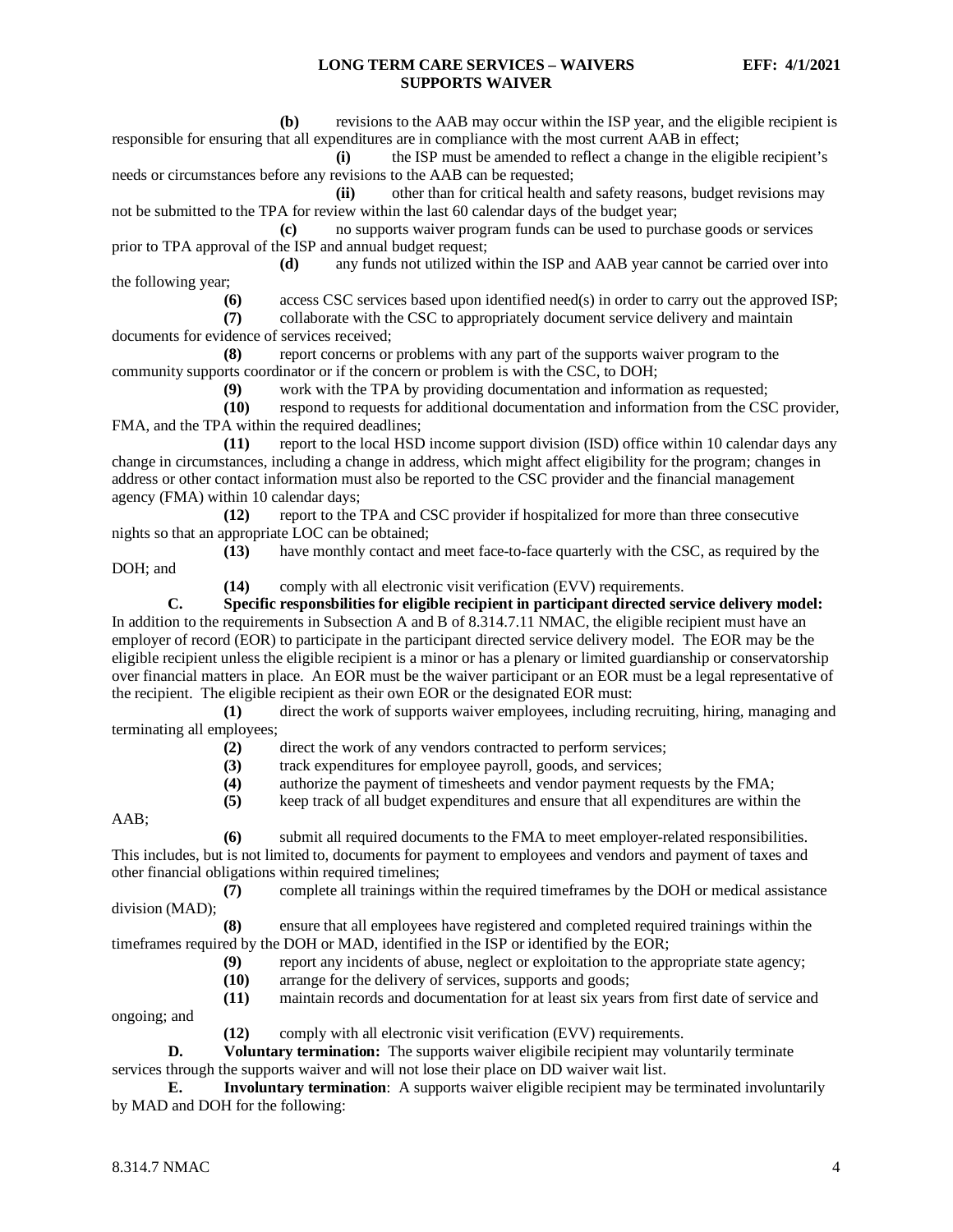**(b)** revisions to the AAB may occur within the ISP year, and the eligible recipient is responsible for ensuring that all expenditures are in compliance with the most current AAB in effect;

**(i)** the ISP must be amended to reflect a change in the eligible recipient's needs or circumstances before any revisions to the AAB can be requested;

**(ii)** other than for critical health and safety reasons, budget revisions may not be submitted to the TPA for review within the last 60 calendar days of the budget year;

**(c)** no supports waiver program funds can be used to purchase goods or services prior to TPA approval of the ISP and annual budget request;<br>(d) any funds not utilized wi

**(d)** any funds not utilized within the ISP and AAB year cannot be carried over into the following year;

**(6)** access CSC services based upon identified need(s) in order to carry out the approved ISP;

**(7)** collaborate with the CSC to appropriately document service delivery and maintain documents for evidence of services received;

**(8)** report concerns or problems with any part of the supports waiver program to the community supports coordinator or if the concern or problem is with the CSC, to DOH;

**(9)** work with the TPA by providing documentation and information as requested;

**(10)** respond to requests for additional documentation and information from the CSC provider, FMA, and the TPA within the required deadlines;

**(11)** report to the local HSD income support division (ISD) office within 10 calendar days any change in circumstances, including a change in address, which might affect eligibility for the program; changes in address or other contact information must also be reported to the CSC provider and the financial management agency (FMA) within 10 calendar days;

**(12)** report to the TPA and CSC provider if hospitalized for more than three consecutive nights so that an appropriate LOC can be obtained;

**(13)** have monthly contact and meet face-to-face quarterly with the CSC, as required by the

DOH; and

**(14)** comply with all electronic visit verification (EVV) requirements.

**C. Specific responsbilities for eligible recipient in participant directed service delivery model:** In addition to the requirements in Subsection A and B of 8.314.7.11 NMAC, the eligible recipient must have an employer of record (EOR) to participate in the participant directed service delivery model. The EOR may be the eligible recipient unless the eligible recipient is a minor or has a plenary or limited guardianship or conservatorship over financial matters in place. An EOR must be the waiver participant or an EOR must be a legal representative of the recipient. The eligible recipient as their own EOR or the designated EOR must:

**(1)** direct the work of supports waiver employees, including recruiting, hiring, managing and terminating all employees;

**(2)** direct the work of any vendors contracted to perform services;

**(3)** track expenditures for employee payroll, goods, and services;

**(4)** authorize the payment of timesheets and vendor payment requests by the FMA;

**(5)** keep track of all budget expenditures and ensure that all expenditures are within the

AAB;

**(6)** submit all required documents to the FMA to meet employer-related responsibilities. This includes, but is not limited to, documents for payment to employees and vendors and payment of taxes and other financial obligations within required timelines;

**(7)** complete all trainings within the required timeframes by the DOH or medical assistance division (MAD);

**(8)** ensure that all employees have registered and completed required trainings within the timeframes required by the DOH or MAD, identified in the ISP or identified by the EOR;

**(9)** report any incidents of abuse, neglect or exploitation to the appropriate state agency;

**(10)** arrange for the delivery of services, supports and goods;

**(11)** maintain records and documentation for at least six years from first date of service and ongoing; and

**(12)** comply with all electronic visit verification (EVV) requirements.

**D. Voluntary termination:** The supports waiver eligibile recipient may voluntarily terminate services through the supports waiver and will not lose their place on DD waiver wait list.

**E. Involuntary termination**: A supports waiver eligible recipient may be terminated involuntarily by MAD and DOH for the following: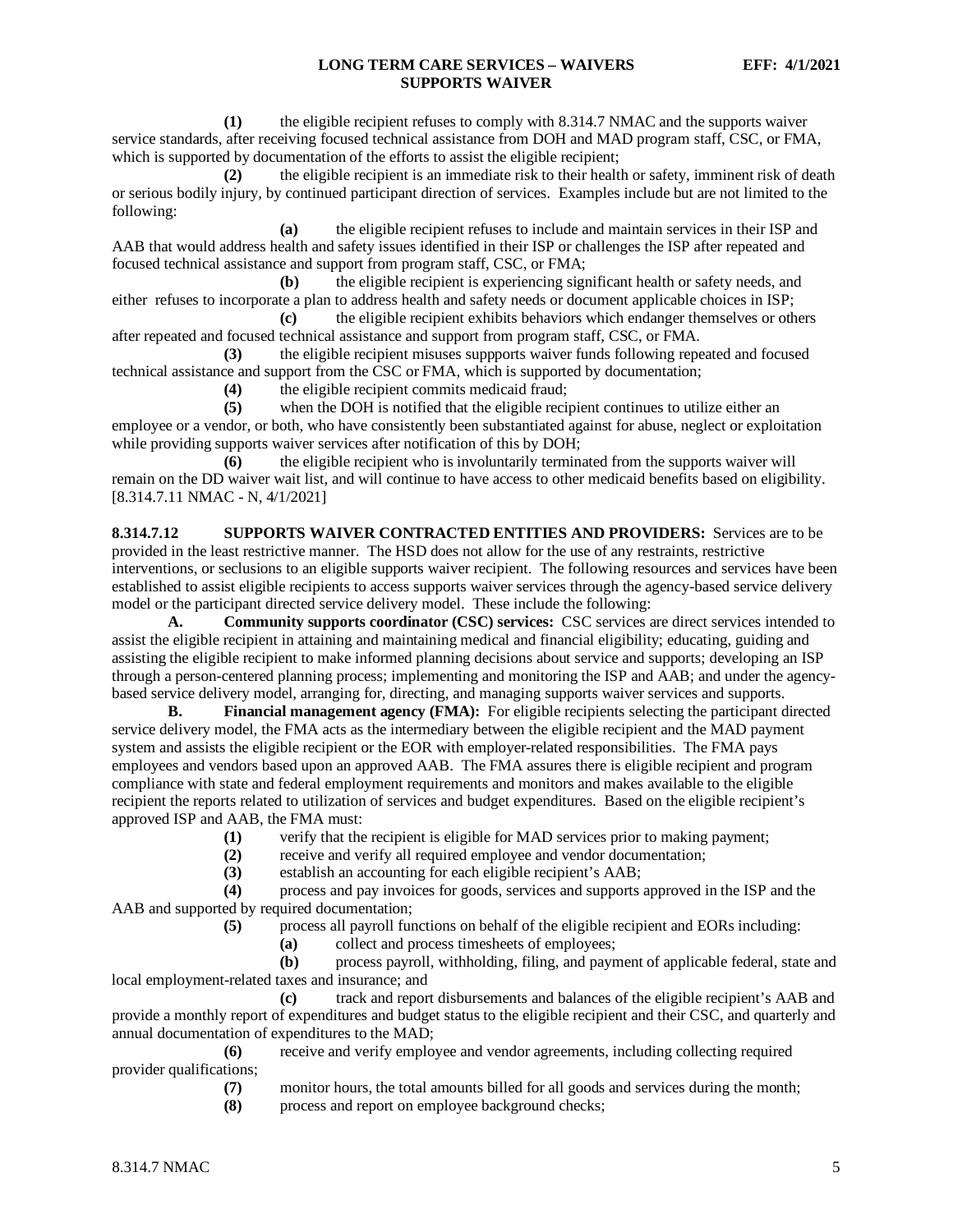**(1)** the eligible recipient refuses to comply with 8.314.7 NMAC and the supports waiver service standards, after receiving focused technical assistance from DOH and MAD program staff, CSC, or FMA, which is supported by documentation of the efforts to assist the eligible recipient;

**(2)** the eligible recipient is an immediate risk to their health or safety, imminent risk of death or serious bodily injury, by continued participant direction of services. Examples include but are not limited to the following:

**(a)** the eligible recipient refuses to include and maintain services in their ISP and AAB that would address health and safety issues identified in their ISP or challenges the ISP after repeated and focused technical assistance and support from program staff, CSC, or FMA;

**(b)** the eligible recipient is experiencing significant health or safety needs, and either refuses to incorporate a plan to address health and safety needs or document applicable choices in ISP;

**(c)** the eligible recipient exhibits behaviors which endanger themselves or others after repeated and focused technical assistance and support from program staff, CSC, or FMA.

**(3)** the eligible recipient misuses suppports waiver funds following repeated and focused technical assistance and support from the CSC or FMA, which is supported by documentation;

**(4)** the eligible recipient commits medicaid fraud;

**(5)** when the DOH is notified that the eligible recipient continues to utilize either an employee or a vendor, or both, who have consistently been substantiated against for abuse, neglect or exploitation while providing supports waiver services after notification of this by DOH;

**(6)** the eligible recipient who is involuntarily terminated from the supports waiver will remain on the DD waiver wait list, and will continue to have access to other medicaid benefits based on eligibility. [8.314.7.11 NMAC - N, 4/1/2021]

<span id="page-5-0"></span>**8.314.7.12 SUPPORTS WAIVER CONTRACTED ENTITIES AND PROVIDERS:** Services are to be provided in the least restrictive manner. The HSD does not allow for the use of any restraints, restrictive interventions, or seclusions to an eligible supports waiver recipient. The following resources and services have been established to assist eligible recipients to access supports waiver services through the agency-based service delivery model or the participant directed service delivery model. These include the following:

**A. Community supports coordinator (CSC) services:** CSC services are direct services intended to assist the eligible recipient in attaining and maintaining medical and financial eligibility; educating, guiding and assisting the eligible recipient to make informed planning decisions about service and supports; developing an ISP through a person-centered planning process; implementing and monitoring the ISP and AAB; and under the agencybased service delivery model, arranging for, directing, and managing supports waiver services and supports.

**B. Financial management agency (FMA):** For eligible recipients selecting the participant directed service delivery model, the FMA acts as the intermediary between the eligible recipient and the MAD payment system and assists the eligible recipient or the EOR with employer-related responsibilities. The FMA pays employees and vendors based upon an approved AAB. The FMA assures there is eligible recipient and program compliance with state and federal employment requirements and monitors and makes available to the eligible recipient the reports related to utilization of services and budget expenditures. Based on the eligible recipient's approved ISP and AAB, the FMA must:

(1) verify that the recipient is eligible for MAD services prior to making payment;<br>(2) receive and verify all required employee and vendor documentation;

(2) receive and verify all required employee and vendor documentation;<br>(3) establish an accounting for each eligible recipient's AAB;

establish an accounting for each eligible recipient's AAB;

**(4)** process and pay invoices for goods, services and supports approved in the ISP and the AAB and supported by required documentation;

**(5)** process all payroll functions on behalf of the eligible recipient and EORs including:

**(a)** collect and process timesheets of employees;

**(b)** process payroll, withholding, filing, and payment of applicable federal, state and local employment-related taxes and insurance; and

**(c)** track and report disbursements and balances of the eligible recipient's AAB and provide a monthly report of expenditures and budget status to the eligible recipient and their CSC, and quarterly and annual documentation of expenditures to the MAD;

**(6)** receive and verify employee and vendor agreements, including collecting required provider qualifications;

**(7)** monitor hours, the total amounts billed for all goods and services during the month;

**(8)** process and report on employee background checks;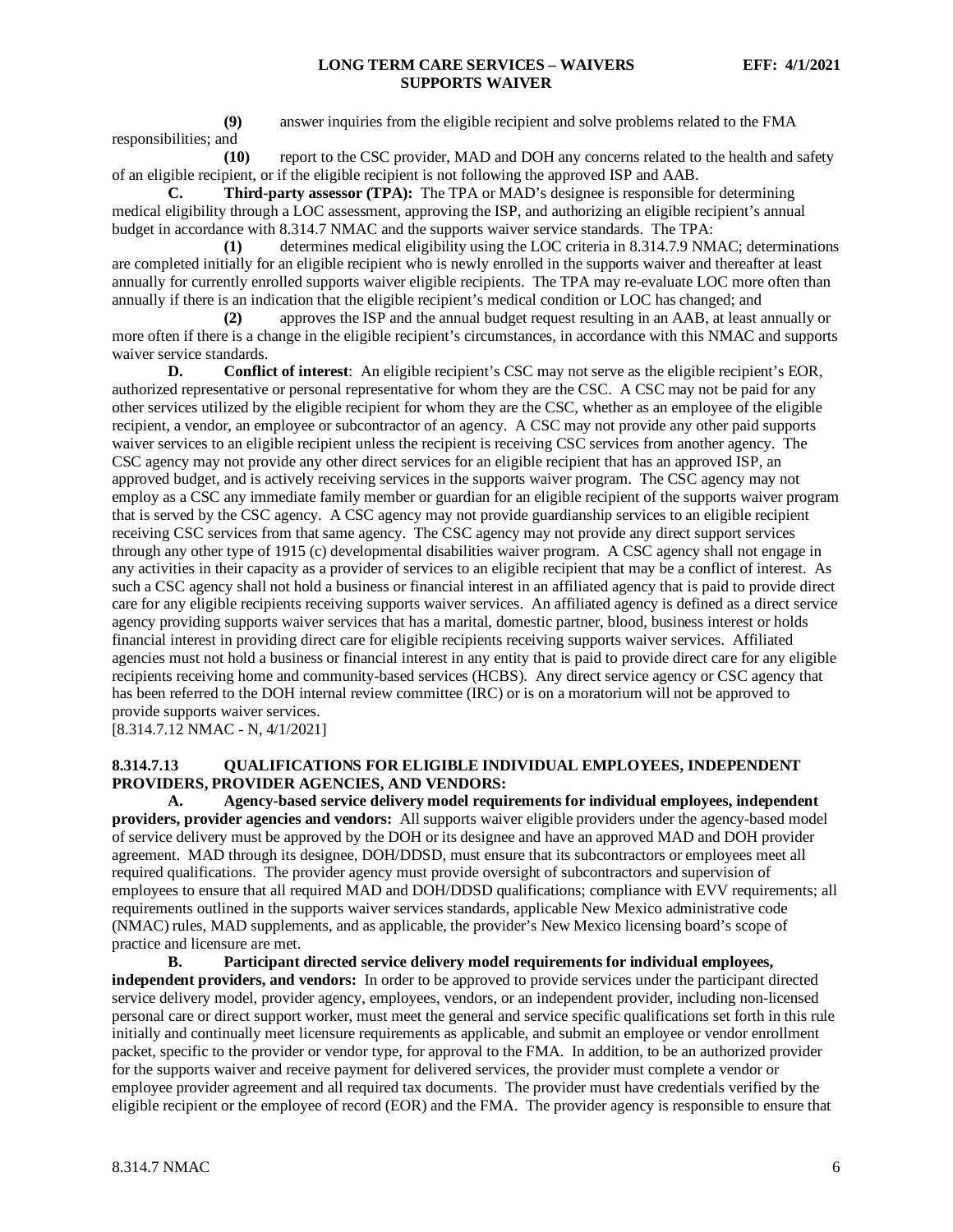**(9)** answer inquiries from the eligible recipient and solve problems related to the FMA responsibilities; and

**(10)** report to the CSC provider, MAD and DOH any concerns related to the health and safety of an eligible recipient, or if the eligible recipient is not following the approved ISP and AAB.

**C. Third-party assessor (TPA):** The TPA or MAD's designee is responsible for determining medical eligibility through a LOC assessment, approving the ISP, and authorizing an eligible recipient's annual budget in accordance with 8.314.7 NMAC and the supports waiver service standards. The TPA:

**(1)** determines medical eligibility using the LOC criteria in 8.314.7.9 NMAC; determinations are completed initially for an eligible recipient who is newly enrolled in the supports waiver and thereafter at least annually for currently enrolled supports waiver eligible recipients. The TPA may re-evaluate LOC more often than annually if there is an indication that the eligible recipient's medical condition or LOC has changed; and

**(2)** approves the ISP and the annual budget request resulting in an AAB, at least annually or more often if there is a change in the eligible recipient's circumstances, in accordance with this NMAC and supports waiver service standards.

**D. Conflict of interest**: An eligible recipient's CSC may not serve as the eligible recipient's EOR, authorized representative or personal representative for whom they are the CSC. A CSC may not be paid for any other services utilized by the eligible recipient for whom they are the CSC, whether as an employee of the eligible recipient, a vendor, an employee or subcontractor of an agency. A CSC may not provide any other paid supports waiver services to an eligible recipient unless the recipient is receiving CSC services from another agency. The CSC agency may not provide any other direct services for an eligible recipient that has an approved ISP, an approved budget, and is actively receiving services in the supports waiver program. The CSC agency may not employ as a CSC any immediate family member or guardian for an eligible recipient of the supports waiver program that is served by the CSC agency. A CSC agency may not provide guardianship services to an eligible recipient receiving CSC services from that same agency. The CSC agency may not provide any direct support services through any other type of 1915 (c) developmental disabilities waiver program. A CSC agency shall not engage in any activities in their capacity as a provider of services to an eligible recipient that may be a conflict of interest. As such a CSC agency shall not hold a business or financial interest in an affiliated agency that is paid to provide direct care for any eligible recipients receiving supports waiver services. An affiliated agency is defined as a direct service agency providing supports waiver services that has a marital, domestic partner, blood, business interest or holds financial interest in providing direct care for eligible recipients receiving supports waiver services. Affiliated agencies must not hold a business or financial interest in any entity that is paid to provide direct care for any eligible recipients receiving home and community-based services (HCBS). Any direct service agency or CSC agency that has been referred to the DOH internal review committee (IRC) or is on a moratorium will not be approved to provide supports waiver services.

[8.314.7.12 NMAC - N, 4/1/2021]

#### <span id="page-6-0"></span>**8.314.7.13 QUALIFICATIONS FOR ELIGIBLE INDIVIDUAL EMPLOYEES, INDEPENDENT PROVIDERS, PROVIDER AGENCIES, AND VENDORS:**

**A. Agency-based service delivery model requirements for individual employees, independent providers, provider agencies and vendors:** All supports waiver eligible providers under the agency-based model of service delivery must be approved by the DOH or its designee and have an approved MAD and DOH provider agreement. MAD through its designee, DOH/DDSD, must ensure that its subcontractors or employees meet all required qualifications. The provider agency must provide oversight of subcontractors and supervision of employees to ensure that all required MAD and DOH/DDSD qualifications; compliance with EVV requirements; all requirements outlined in the supports waiver services standards, applicable New Mexico administrative code (NMAC) rules, MAD supplements, and as applicable, the provider's New Mexico licensing board's scope of practice and licensure are met.

**B. Participant directed service delivery model requirements for individual employees, independent providers, and vendors:** In order to be approved to provide services under the participant directed service delivery model, provider agency, employees, vendors, or an independent provider, including non-licensed personal care or direct support worker, must meet the general and service specific qualifications set forth in this rule initially and continually meet licensure requirements as applicable, and submit an employee or vendor enrollment packet, specific to the provider or vendor type, for approval to the FMA. In addition, to be an authorized provider for the supports waiver and receive payment for delivered services, the provider must complete a vendor or employee provider agreement and all required tax documents. The provider must have credentials verified by the eligible recipient or the employee of record (EOR) and the FMA. The provider agency is responsible to ensure that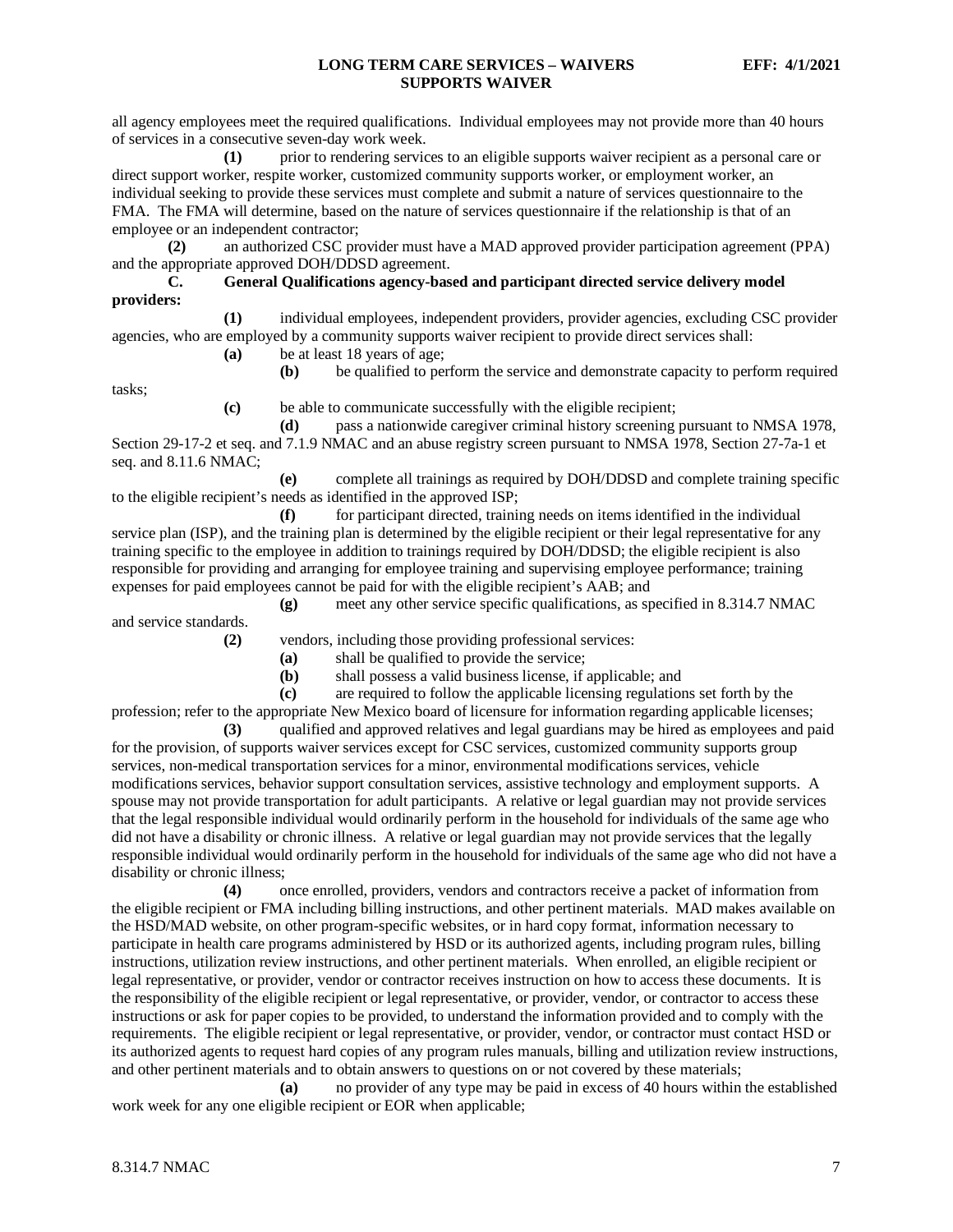all agency employees meet the required qualifications. Individual employees may not provide more than 40 hours of services in a consecutive seven-day work week.

**(1)** prior to rendering services to an eligible supports waiver recipient as a personal care or direct support worker, respite worker, customized community supports worker, or employment worker, an individual seeking to provide these services must complete and submit a nature of services questionnaire to the FMA. The FMA will determine, based on the nature of services questionnaire if the relationship is that of an employee or an independent contractor;

**(2)** an authorized CSC provider must have a MAD approved provider participation agreement (PPA) and the appropriate approved DOH/DDSD agreement.

#### **C. General Qualifications agency-based and participant directed service delivery model providers:**

**(1)** individual employees, independent providers, provider agencies, excluding CSC provider agencies, who are employed by a community supports waiver recipient to provide direct services shall:

**(a)** be at least 18 years of age;

**(b)** be qualified to perform the service and demonstrate capacity to perform required

tasks;

**(c)** be able to communicate successfully with the eligible recipient;

**(d)** pass a nationwide caregiver criminal history screening pursuant to NMSA 1978, Section 29-17-2 et seq. and 7.1.9 NMAC and an abuse registry screen pursuant to NMSA 1978, Section 27-7a-1 et seq. and 8.11.6 NMAC;

**(e)** complete all trainings as required by DOH/DDSD and complete training specific to the eligible recipient's needs as identified in the approved ISP;

**(f)** for participant directed, training needs on items identified in the individual service plan (ISP), and the training plan is determined by the eligible recipient or their legal representative for any training specific to the employee in addition to trainings required by DOH/DDSD; the eligible recipient is also responsible for providing and arranging for employee training and supervising employee performance; training expenses for paid employees cannot be paid for with the eligible recipient's AAB; and

**(g)** meet any other service specific qualifications, as specified in 8.314.7 NMAC and service standards.

**(2)** vendors, including those providing professional services:

**(a)** shall be qualified to provide the service;

**(b)** shall possess a valid business license, if applicable; and

**(c)** are required to follow the applicable licensing regulations set forth by the profession; refer to the appropriate New Mexico board of licensure for information regarding applicable licenses;

**(3)** qualified and approved relatives and legal guardians may be hired as employees and paid for the provision, of supports waiver services except for CSC services, customized community supports group services, non-medical transportation services for a minor, environmental modifications services, vehicle modifications services, behavior support consultation services, assistive technology and employment supports. A spouse may not provide transportation for adult participants. A relative or legal guardian may not provide services that the legal responsible individual would ordinarily perform in the household for individuals of the same age who did not have a disability or chronic illness. A relative or legal guardian may not provide services that the legally responsible individual would ordinarily perform in the household for individuals of the same age who did not have a disability or chronic illness;

**(4)** once enrolled, providers, vendors and contractors receive a packet of information from the eligible recipient or FMA including billing instructions, and other pertinent materials. MAD makes available on the HSD/MAD website, on other program-specific websites, or in hard copy format, information necessary to participate in health care programs administered by HSD or its authorized agents, including program rules, billing instructions, utilization review instructions, and other pertinent materials. When enrolled, an eligible recipient or legal representative, or provider, vendor or contractor receives instruction on how to access these documents. It is the responsibility of the eligible recipient or legal representative, or provider, vendor, or contractor to access these instructions or ask for paper copies to be provided, to understand the information provided and to comply with the requirements. The eligible recipient or legal representative, or provider, vendor, or contractor must contact HSD or its authorized agents to request hard copies of any program rules manuals, billing and utilization review instructions, and other pertinent materials and to obtain answers to questions on or not covered by these materials;

**(a)** no provider of any type may be paid in excess of 40 hours within the established work week for any one eligible recipient or EOR when applicable;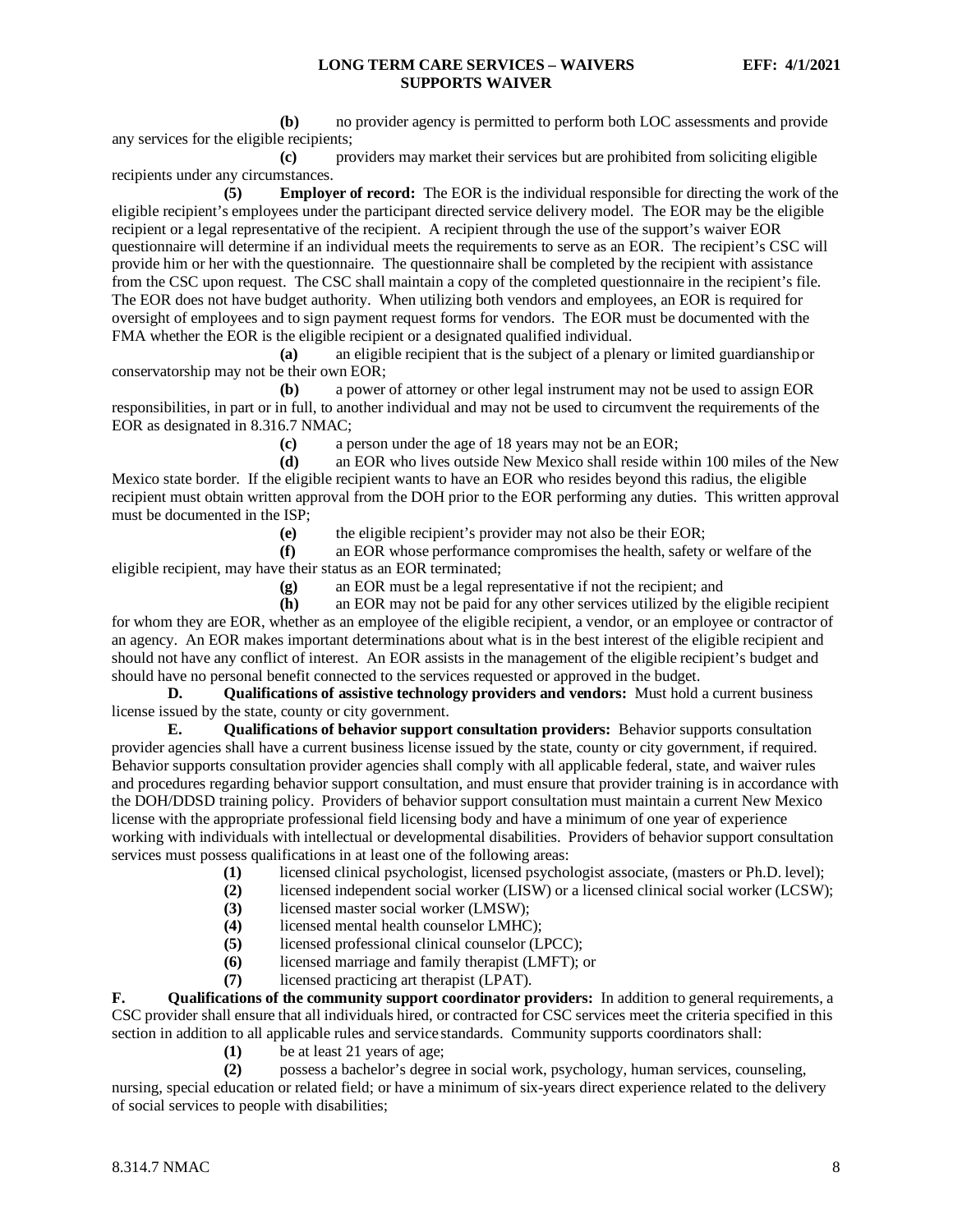**(b)** no provider agency is permitted to perform both LOC assessments and provide any services for the eligible recipients;

**(c)** providers may market their services but are prohibited from soliciting eligible recipients under any circumstances.

**(5) Employer of record:** The EOR is the individual responsible for directing the work of the eligible recipient's employees under the participant directed service delivery model. The EOR may be the eligible recipient or a legal representative of the recipient. A recipient through the use of the support's waiver EOR questionnaire will determine if an individual meets the requirements to serve as an EOR. The recipient's CSC will provide him or her with the questionnaire. The questionnaire shall be completed by the recipient with assistance from the CSC upon request. The CSC shall maintain a copy of the completed questionnaire in the recipient's file. The EOR does not have budget authority. When utilizing both vendors and employees, an EOR is required for oversight of employees and to sign payment request forms for vendors. The EOR must be documented with the FMA whether the EOR is the eligible recipient or a designated qualified individual.

**(a)** an eligible recipient that is the subject of a plenary or limited guardianshipor conservatorship may not be their own EOR;

**(b)** a power of attorney or other legal instrument may not be used to assign EOR responsibilities, in part or in full, to another individual and may not be used to circumvent the requirements of the EOR as designated in 8.316.7 NMAC;

**(c)** a person under the age of 18 years may not be an EOR;

**(d)** an EOR who lives outside New Mexico shall reside within 100 miles of the New Mexico state border. If the eligible recipient wants to have an EOR who resides beyond this radius, the eligible recipient must obtain written approval from the DOH prior to the EOR performing any duties. This written approval must be documented in the ISP;

**(e)** the eligible recipient's provider may not also be their EOR;

**(f)** an EOR whose performance compromises the health, safety or welfare of the eligible recipient, may have their status as an EOR terminated;

**(g)** an EOR must be a legal representative if not the recipient; and

**(h)** an EOR may not be paid for any other services utilized by the eligible recipient for whom they are EOR, whether as an employee of the eligible recipient, a vendor, or an employee or contractor of an agency. An EOR makes important determinations about what is in the best interest of the eligible recipient and should not have any conflict of interest. An EOR assists in the management of the eligible recipient's budget and should have no personal benefit connected to the services requested or approved in the budget.

**D. Qualifications of assistive technology providers and vendors:** Must hold a current business license issued by the state, county or city government.

**E. Qualifications of behavior support consultation providers:** Behavior supports consultation provider agencies shall have a current business license issued by the state, county or city government, if required. Behavior supports consultation provider agencies shall comply with all applicable federal, state, and waiver rules and procedures regarding behavior support consultation, and must ensure that provider training is in accordance with the DOH/DDSD training policy. Providers of behavior support consultation must maintain a current New Mexico license with the appropriate professional field licensing body and have a minimum of one year of experience working with individuals with intellectual or developmental disabilities. Providers of behavior support consultation services must possess qualifications in at least one of the following areas:

- **(1)** licensed clinical psychologist, licensed psychologist associate, (masters or Ph.D. level);
- **(2)** licensed independent social worker (LISW) or a licensed clinical social worker (LCSW);
- **(3)** licensed master social worker (LMSW);<br>**(4)** licensed mental health counselor LMHC
- **(4)** licensed mental health counselor LMHC);
- **(5)** licensed professional clinical counselor (LPCC);
- **(6)** licensed marriage and family therapist (LMFT); or
- **(7)** licensed practicing art therapist (LPAT).

**F. Qualifications of the community support coordinator providers:** In addition to general requirements, a CSC provider shall ensure that all individuals hired, or contracted for CSC services meet the criteria specified in this section in addition to all applicable rules and service standards. Community supports coordinators shall:

- **(1)** be at least 21 years of age;
- **(2)** possess a bachelor's degree in social work, psychology, human services, counseling,

nursing, special education or related field; or have a minimum of six-years direct experience related to the delivery of social services to people with disabilities;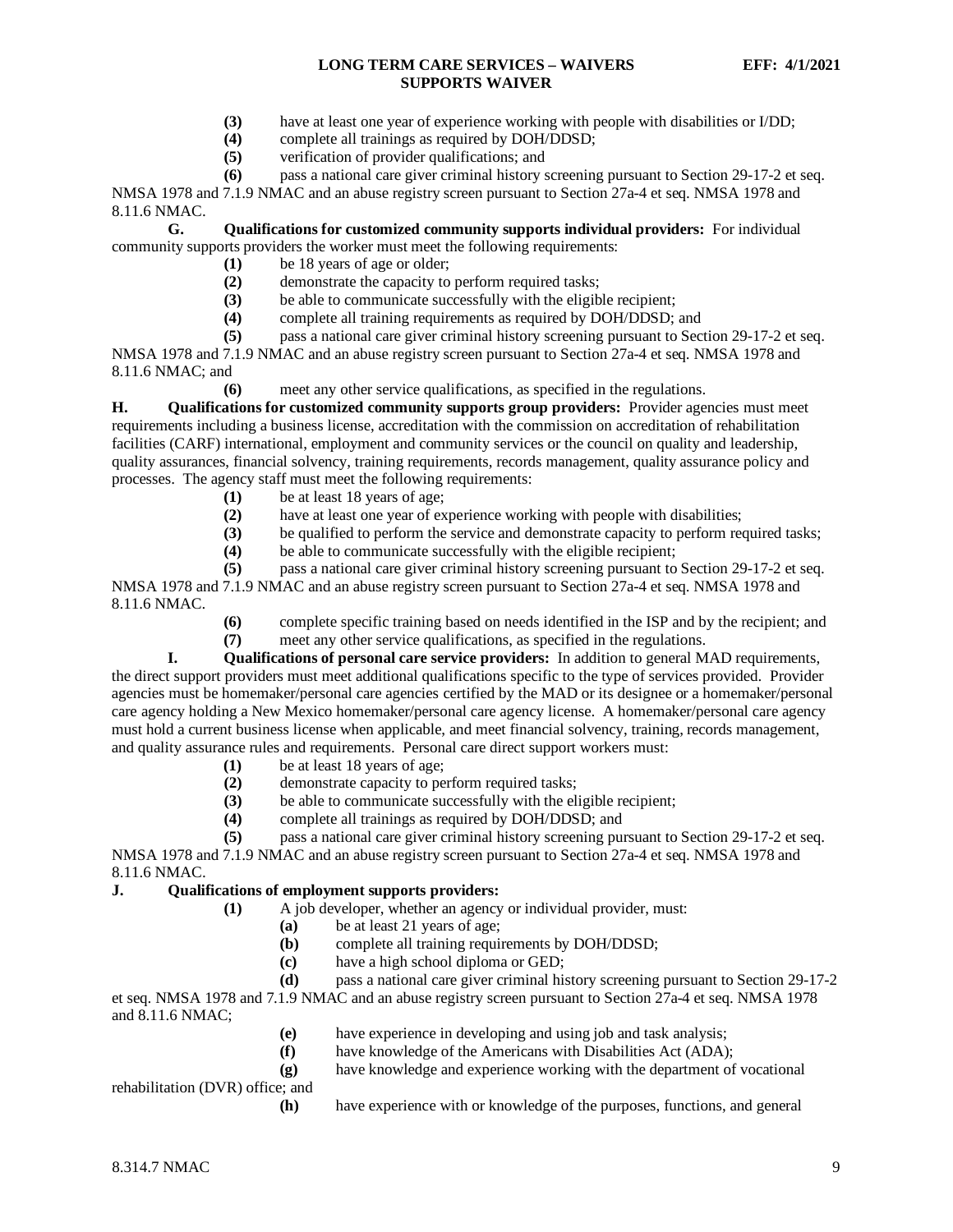- **(3)** have at least one year of experience working with people with disabilities or I/DD;
- (4) complete all trainings as required by DOH/DDSD;<br>(5) verification of provider qualifications: and
- **(5)** verification of provider qualifications; and

**(6)** pass a national care giver criminal history screening pursuant to Section 29-17-2 et seq. NMSA 1978 and 7.1.9 NMAC and an abuse registry screen pursuant to Section 27a-4 et seq. NMSA 1978 and 8.11.6 NMAC.

**G. Qualifications for customized community supports individual providers:** For individual community supports providers the worker must meet the following requirements:

- **(1)** be 18 years of age or older;
- **(2)** demonstrate the capacity to perform required tasks;
- **(3)** be able to communicate successfully with the eligible recipient;
- **(4)** complete all training requirements as required by DOH/DDSD; and
- **(5)** pass a national care giver criminal history screening pursuant to Section 29-17-2 et seq.

NMSA 1978 and 7.1.9 NMAC and an abuse registry screen pursuant to Section 27a-4 et seq. NMSA 1978 and 8.11.6 NMAC; and

**(6)** meet any other service qualifications, as specified in the regulations.

**H. Qualifications for customized community supports group providers:** Provider agencies must meet requirements including a business license, accreditation with the commission on accreditation of rehabilitation facilities (CARF) international, employment and community services or the council on quality and leadership, quality assurances, financial solvency, training requirements, records management, quality assurance policy and processes. The agency staff must meet the following requirements:

- **(1)** be at least 18 years of age;
- (2) have at least one year of experience working with people with disabilities;<br>(3) be qualified to perform the service and demonstrate capacity to perform re
- **(3)** be qualified to perform the service and demonstrate capacity to perform required tasks;
- **(4)** be able to communicate successfully with the eligible recipient;

**(5)** pass a national care giver criminal history screening pursuant to Section 29-17-2 et seq. NMSA 1978 and 7.1.9 NMAC and an abuse registry screen pursuant to Section 27a-4 et seq. NMSA 1978 and 8.11.6 NMAC.

- **(6)** complete specific training based on needs identified in the ISP and by the recipient; and
- **(7)** meet any other service qualifications, as specified in the regulations.

**I. Qualifications of personal care service providers:** In addition to general MAD requirements, the direct support providers must meet additional qualifications specific to the type of services provided. Provider agencies must be homemaker/personal care agencies certified by the MAD or its designee or a homemaker/personal care agency holding a New Mexico homemaker/personal care agency license. A homemaker/personal care agency must hold a current business license when applicable, and meet financial solvency, training, records management, and quality assurance rules and requirements. Personal care direct support workers must:

- **(1)** be at least 18 years of age;
- **(2)** demonstrate capacity to perform required tasks;
- **(3)** be able to communicate successfully with the eligible recipient;
- **(4)** complete all trainings as required by DOH/DDSD; and
- **(5)** pass a national care giver criminal history screening pursuant to Section 29-17-2 et seq.

NMSA 1978 and 7.1.9 NMAC and an abuse registry screen pursuant to Section 27a-4 et seq. NMSA 1978 and 8.11.6 NMAC.

#### **J. Qualifications of employment supports providers:**

- **(1)** A job developer, whether an agency or individual provider, must:
	- **(a)** be at least 21 years of age;
	- **(b)** complete all training requirements by DOH/DDSD;
	- **(c)** have a high school diploma or GED;

**(d)** pass a national care giver criminal history screening pursuant to Section 29-17-2 et seq. NMSA 1978 and 7.1.9 NMAC and an abuse registry screen pursuant to Section 27a-4 et seq. NMSA 1978 and 8.11.6 NMAC;

- **(e)** have experience in developing and using job and task analysis;
- **(f)** have knowledge of the Americans with Disabilities Act (ADA);
- 
- **(g)** have knowledge and experience working with the department of vocational

rehabilitation (DVR) office; and

**(h)** have experience with or knowledge of the purposes, functions, and general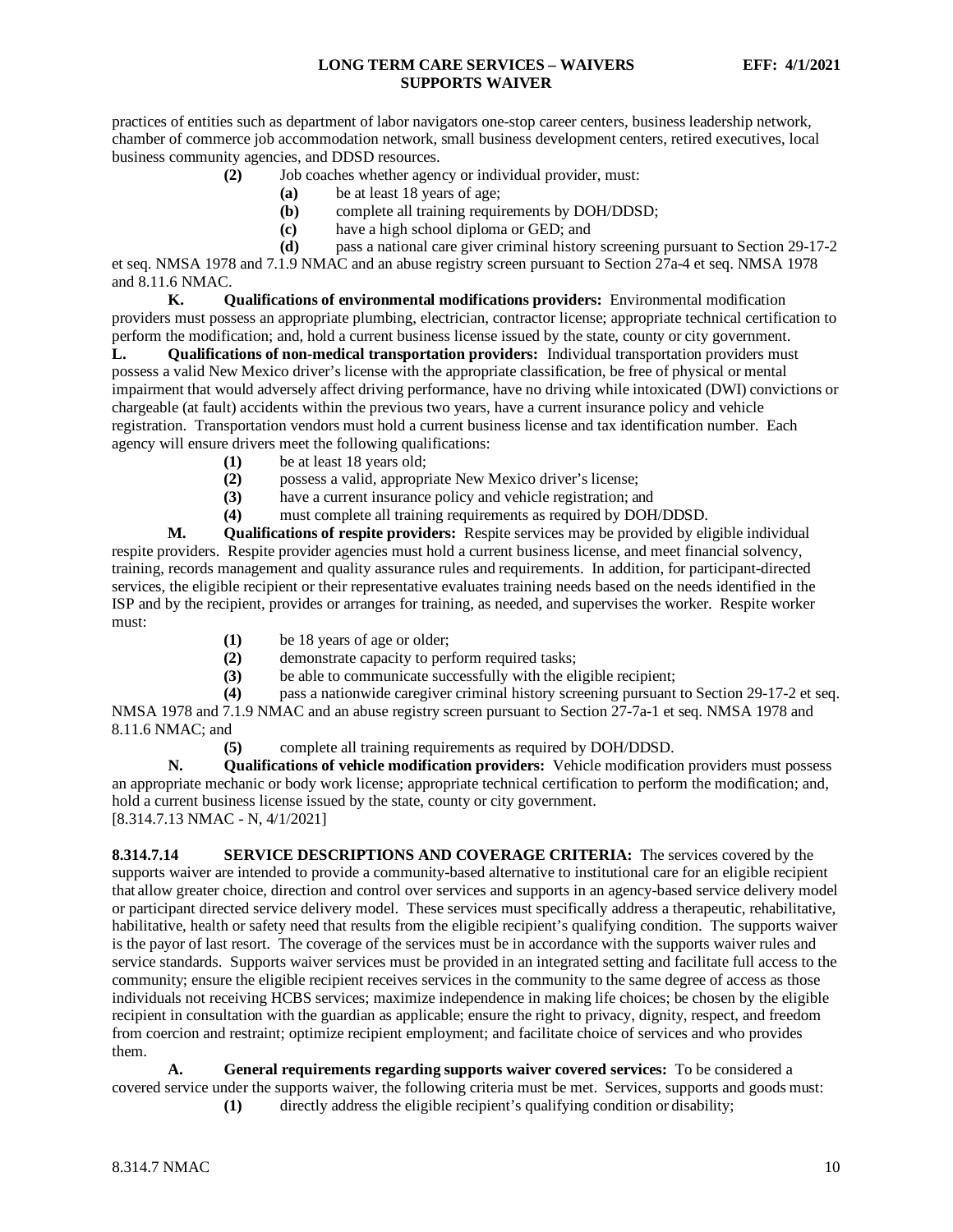practices of entities such as department of labor navigators one-stop career centers, business leadership network, chamber of commerce job accommodation network, small business development centers, retired executives, local business community agencies, and DDSD resources.

- **(2)** Job coaches whether agency or individual provider, must:
	- **(a)** be at least 18 years of age;
	- **(b)** complete all training requirements by DOH/DDSD;
	- **(c)** have a high school diploma or GED; and
- **(d)** pass a national care giver criminal history screening pursuant to Section 29-17-2

et seq. NMSA 1978 and 7.1.9 NMAC and an abuse registry screen pursuant to Section 27a-4 et seq. NMSA 1978 and 8.11.6 NMAC.

**K. Qualifications of environmental modifications providers:** Environmental modification providers must possess an appropriate plumbing, electrician, contractor license; appropriate technical certification to perform the modification; and, hold a current business license issued by the state, county or city government.

**L. Qualifications of non-medical transportation providers:** Individual transportation providers must possess a valid New Mexico driver's license with the appropriate classification, be free of physical or mental impairment that would adversely affect driving performance, have no driving while intoxicated (DWI) convictions or chargeable (at fault) accidents within the previous two years, have a current insurance policy and vehicle registration. Transportation vendors must hold a current business license and tax identification number. Each agency will ensure drivers meet the following qualifications:

- (1) be at least 18 years old;<br>(2) possess a valid, appropr
- **(2)** possess a valid, appropriate New Mexico driver's license;
- **(3)** have a current insurance policy and vehicle registration; and
- **(4)** must complete all training requirements as required by DOH/DDSD.

**M. Qualifications of respite providers:** Respite services may be provided by eligible individual respite providers. Respite provider agencies must hold a current business license, and meet financial solvency, training, records management and quality assurance rules and requirements. In addition, for participant-directed services, the eligible recipient or their representative evaluates training needs based on the needs identified in the ISP and by the recipient, provides or arranges for training, as needed, and supervises the worker. Respite worker must:

- **(1)** be 18 years of age or older;
- **(2)** demonstrate capacity to perform required tasks;
- **(3)** be able to communicate successfully with the eligible recipient;

**(4)** pass a nationwide caregiver criminal history screening pursuant to Section 29-17-2 et seq. NMSA 1978 and 7.1.9 NMAC and an abuse registry screen pursuant to Section 27-7a-1 et seq. NMSA 1978 and 8.11.6 NMAC; and

**(5)** complete all training requirements as required by DOH/DDSD.

**N. Qualifications of vehicle modification providers:** Vehicle modification providers must possess an appropriate mechanic or body work license; appropriate technical certification to perform the modification; and, hold a current business license issued by the state, county or city government. [8.314.7.13 NMAC - N, 4/1/2021]

<span id="page-10-0"></span>**8.314.7.14 SERVICE DESCRIPTIONS AND COVERAGE CRITERIA:** The services covered by the supports waiver are intended to provide a community-based alternative to institutional care for an eligible recipient that allow greater choice, direction and control over services and supports in an agency-based service delivery model or participant directed service delivery model. These services must specifically address a therapeutic, rehabilitative, habilitative, health or safety need that results from the eligible recipient's qualifying condition. The supports waiver is the payor of last resort. The coverage of the services must be in accordance with the supports waiver rules and service standards. Supports waiver services must be provided in an integrated setting and facilitate full access to the community; ensure the eligible recipient receives services in the community to the same degree of access as those individuals not receiving HCBS services; maximize independence in making life choices; be chosen by the eligible recipient in consultation with the guardian as applicable; ensure the right to privacy, dignity, respect, and freedom from coercion and restraint; optimize recipient employment; and facilitate choice of services and who provides them.

**A. General requirements regarding supports waiver covered services:** To be considered a covered service under the supports waiver, the following criteria must be met. Services, supports and goods must:

**(1)** directly address the eligible recipient's qualifying condition or disability;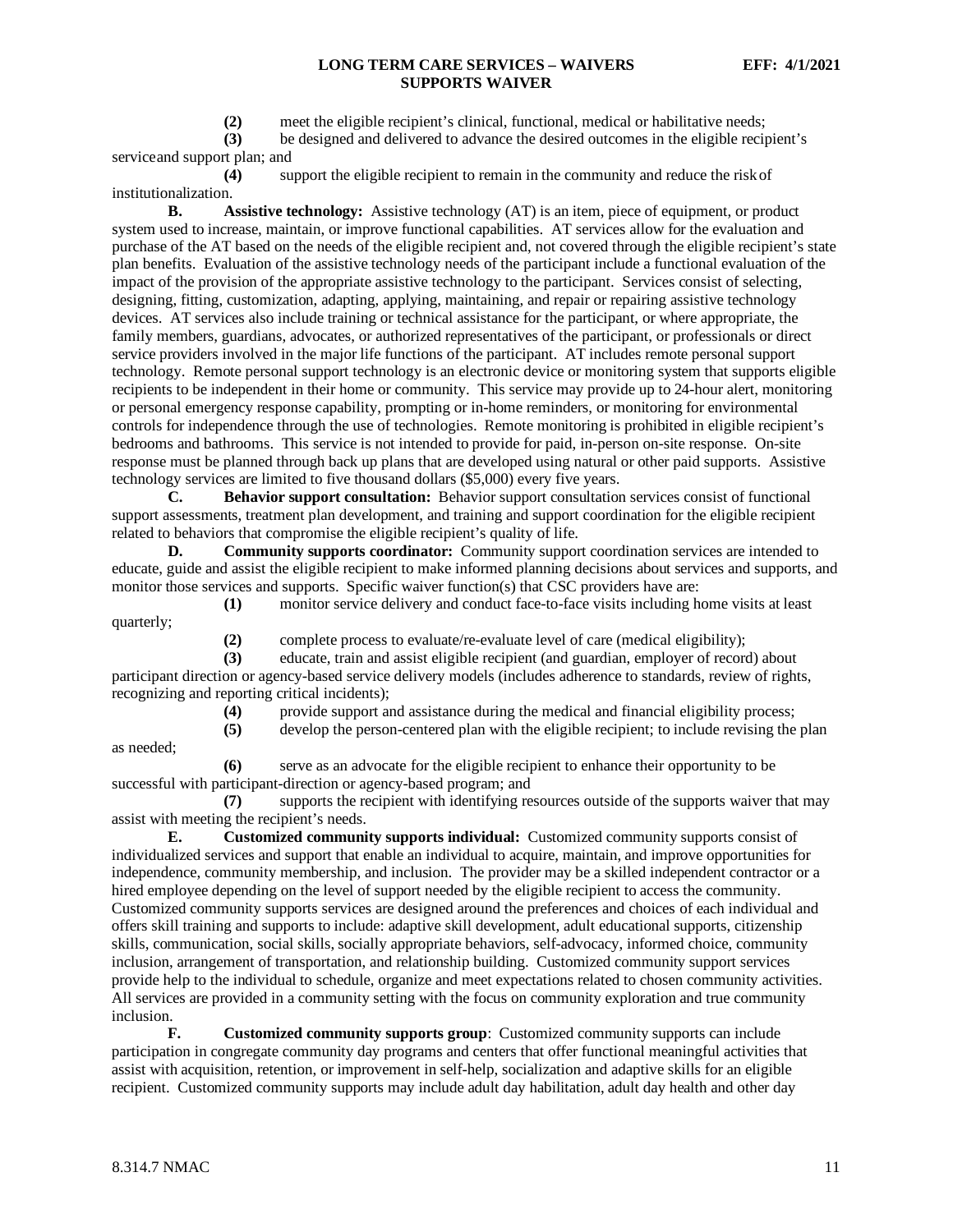**(2)** meet the eligible recipient's clinical, functional, medical or habilitative needs;

**(3)** be designed and delivered to advance the desired outcomes in the eligible recipient's serviceand support plan; and

**(4)** support the eligible recipient to remain in the community and reduce the riskof institutionalization.

**B. Assistive technology:** Assistive technology (AT) is an item, piece of equipment, or product system used to increase, maintain, or improve functional capabilities. AT services allow for the evaluation and purchase of the AT based on the needs of the eligible recipient and, not covered through the eligible recipient's state plan benefits. Evaluation of the assistive technology needs of the participant include a functional evaluation of the impact of the provision of the appropriate assistive technology to the participant. Services consist of selecting, designing, fitting, customization, adapting, applying, maintaining, and repair or repairing assistive technology devices. AT services also include training or technical assistance for the participant, or where appropriate, the family members, guardians, advocates, or authorized representatives of the participant, or professionals or direct service providers involved in the major life functions of the participant. AT includes remote personal support technology. Remote personal support technology is an electronic device or monitoring system that supports eligible recipients to be independent in their home or community. This service may provide up to 24-hour alert, monitoring or personal emergency response capability, prompting or in-home reminders, or monitoring for environmental controls for independence through the use of technologies. Remote monitoring is prohibited in eligible recipient's bedrooms and bathrooms. This service is not intended to provide for paid, in-person on-site response. On-site response must be planned through back up plans that are developed using natural or other paid supports. Assistive technology services are limited to five thousand dollars (\$5,000) every five years.

**C. Behavior support consultation:** Behavior support consultation services consist of functional support assessments, treatment plan development, and training and support coordination for the eligible recipient related to behaviors that compromise the eligible recipient's quality of life.

**D. Community supports coordinator:** Community support coordination services are intended to educate, guide and assist the eligible recipient to make informed planning decisions about services and supports, and monitor those services and supports. Specific waiver function(s) that CSC providers have are:

**(1)** monitor service delivery and conduct face-to-face visits including home visits at least

(2) complete process to evaluate/re-evaluate level of care (medical eligibility);<br>(3) educate, train and assist eligible recipient (and guardian, employer of record

**(3)** educate, train and assist eligible recipient (and guardian, employer of record) about

participant direction or agency-based service delivery models (includes adherence to standards, review of rights, recognizing and reporting critical incidents);

**(4)** provide support and assistance during the medical and financial eligibility process;

**(5)** develop the person-centered plan with the eligible recipient; to include revising the plan

as needed;

quarterly;

**(6)** serve as an advocate for the eligible recipient to enhance their opportunity to be successful with participant-direction or agency-based program; and

**(7)** supports the recipient with identifying resources outside of the supports waiver that may assist with meeting the recipient's needs.

**E. Customized community supports individual:** Customized community supports consist of individualized services and support that enable an individual to acquire, maintain, and improve opportunities for independence, community membership, and inclusion. The provider may be a skilled independent contractor or a hired employee depending on the level of support needed by the eligible recipient to access the community. Customized community supports services are designed around the preferences and choices of each individual and offers skill training and supports to include: adaptive skill development, adult educational supports, citizenship skills, communication, social skills, socially appropriate behaviors, self-advocacy, informed choice, community inclusion, arrangement of transportation, and relationship building. Customized community support services provide help to the individual to schedule, organize and meet expectations related to chosen community activities. All services are provided in a community setting with the focus on community exploration and true community inclusion.

**F. Customized community supports group**: Customized community supports can include participation in congregate community day programs and centers that offer functional meaningful activities that assist with acquisition, retention, or improvement in self-help, socialization and adaptive skills for an eligible recipient. Customized community supports may include adult day habilitation, adult day health and other day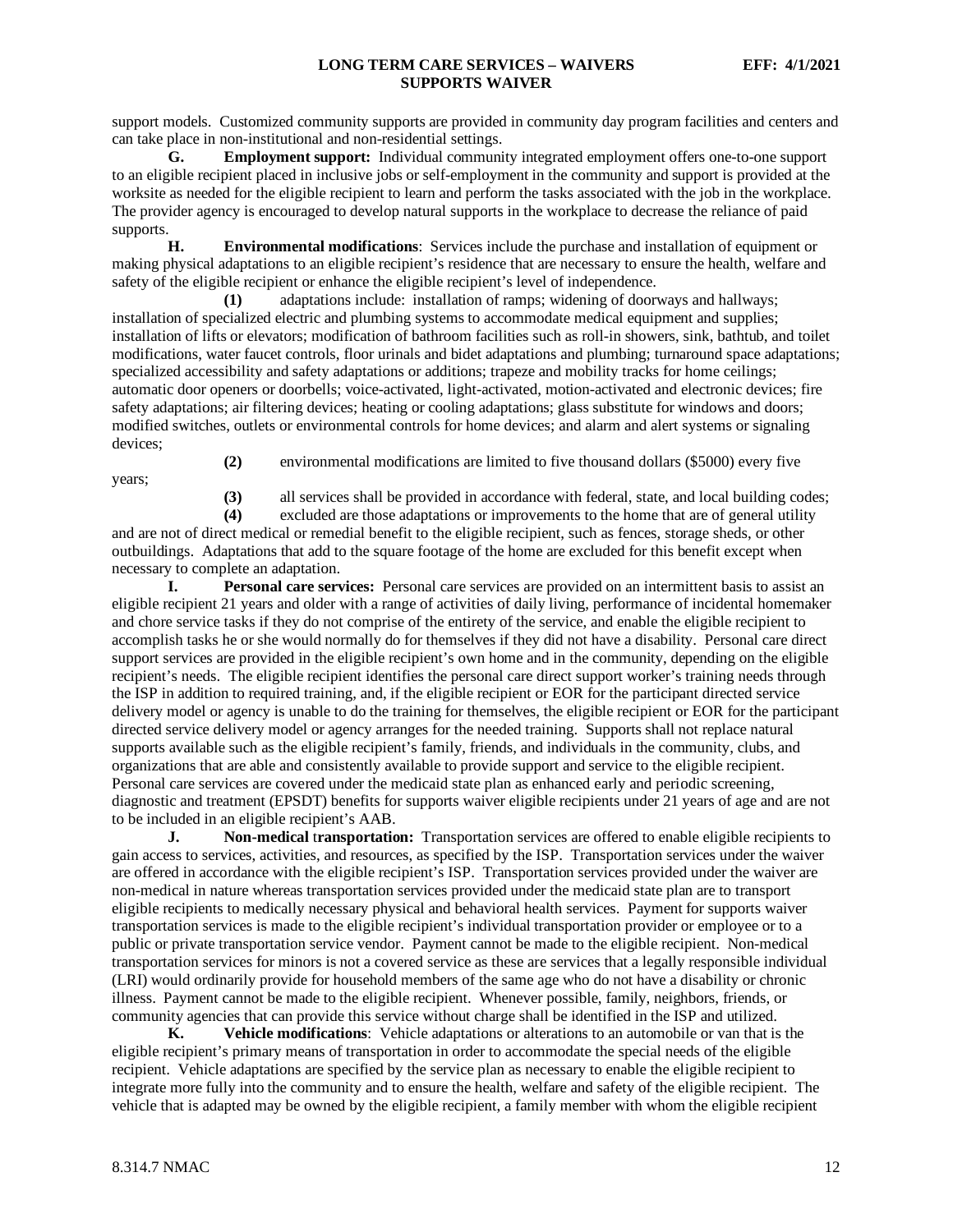support models. Customized community supports are provided in community day program facilities and centers and can take place in non-institutional and non-residential settings.

**G. Employment support:** Individual community integrated employment offers one-to-one support to an eligible recipient placed in inclusive jobs or self-employment in the community and support is provided at the worksite as needed for the eligible recipient to learn and perform the tasks associated with the job in the workplace. The provider agency is encouraged to develop natural supports in the workplace to decrease the reliance of paid supports.

**H. Environmental modifications**: Services include the purchase and installation of equipment or making physical adaptations to an eligible recipient's residence that are necessary to ensure the health, welfare and safety of the eligible recipient or enhance the eligible recipient's level of independence.

**(1)** adaptations include: installation of ramps; widening of doorways and hallways; installation of specialized electric and plumbing systems to accommodate medical equipment and supplies; installation of lifts or elevators; modification of bathroom facilities such as roll-in showers, sink, bathtub, and toilet modifications, water faucet controls, floor urinals and bidet adaptations and plumbing; turnaround space adaptations; specialized accessibility and safety adaptations or additions; trapeze and mobility tracks for home ceilings; automatic door openers or doorbells; voice-activated, light-activated, motion-activated and electronic devices; fire safety adaptations; air filtering devices; heating or cooling adaptations; glass substitute for windows and doors; modified switches, outlets or environmental controls for home devices; and alarm and alert systems or signaling devices;

years;

**(2)** environmental modifications are limited to five thousand dollars (\$5000) every five

**(3)** all services shall be provided in accordance with federal, state, and local building codes;

**(4)** excluded are those adaptations or improvements to the home that are of general utility and are not of direct medical or remedial benefit to the eligible recipient, such as fences, storage sheds, or other outbuildings. Adaptations that add to the square footage of the home are excluded for this benefit except when necessary to complete an adaptation.

**I. Personal care services:** Personal care services are provided on an intermittent basis to assist an eligible recipient 21 years and older with a range of activities of daily living, performance of incidental homemaker and chore service tasks if they do not comprise of the entirety of the service, and enable the eligible recipient to accomplish tasks he or she would normally do for themselves if they did not have a disability. Personal care direct support services are provided in the eligible recipient's own home and in the community, depending on the eligible recipient's needs. The eligible recipient identifies the personal care direct support worker's training needs through the ISP in addition to required training, and, if the eligible recipient or EOR for the participant directed service delivery model or agency is unable to do the training for themselves, the eligible recipient or EOR for the participant directed service delivery model or agency arranges for the needed training. Supports shall not replace natural supports available such as the eligible recipient's family, friends, and individuals in the community, clubs, and organizations that are able and consistently available to provide support and service to the eligible recipient. Personal care services are covered under the medicaid state plan as enhanced early and periodic screening, diagnostic and treatment (EPSDT) benefits for supports waiver eligible recipients under 21 years of age and are not to be included in an eligible recipient's AAB.

**J. Non-medical** t**ransportation:** Transportation services are offered to enable eligible recipients to gain access to services, activities, and resources, as specified by the ISP. Transportation services under the waiver are offered in accordance with the eligible recipient's ISP. Transportation services provided under the waiver are non-medical in nature whereas transportation services provided under the medicaid state plan are to transport eligible recipients to medically necessary physical and behavioral health services. Payment for supports waiver transportation services is made to the eligible recipient's individual transportation provider or employee or to a public or private transportation service vendor. Payment cannot be made to the eligible recipient. Non-medical transportation services for minors is not a covered service as these are services that a legally responsible individual (LRI) would ordinarily provide for household members of the same age who do not have a disability or chronic illness. Payment cannot be made to the eligible recipient. Whenever possible, family, neighbors, friends, or community agencies that can provide this service without charge shall be identified in the ISP and utilized.

**K. Vehicle modifications**: Vehicle adaptations or alterations to an automobile or van that is the eligible recipient's primary means of transportation in order to accommodate the special needs of the eligible recipient. Vehicle adaptations are specified by the service plan as necessary to enable the eligible recipient to integrate more fully into the community and to ensure the health, welfare and safety of the eligible recipient. The vehicle that is adapted may be owned by the eligible recipient, a family member with whom the eligible recipient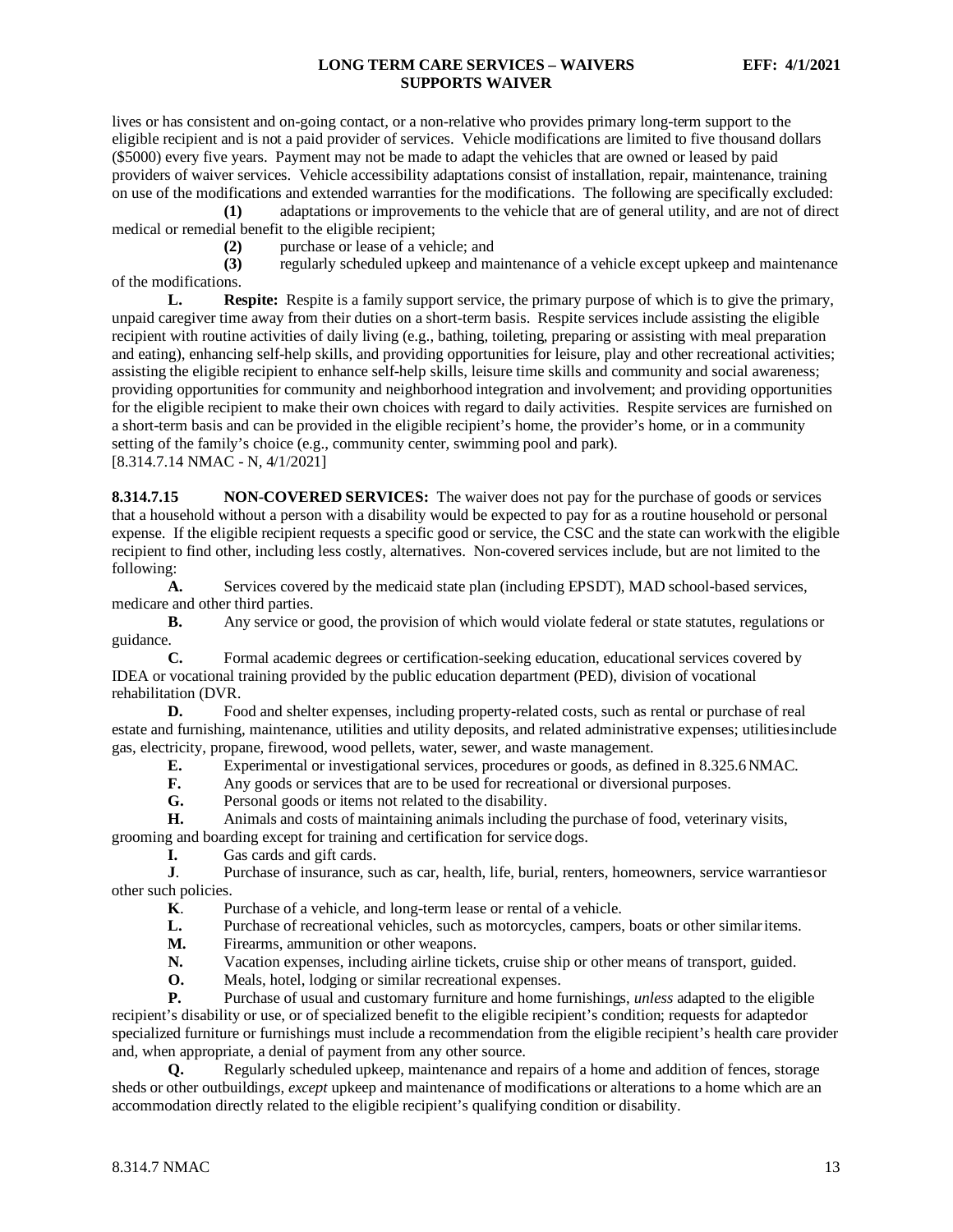lives or has consistent and on-going contact, or a non-relative who provides primary long-term support to the eligible recipient and is not a paid provider of services. Vehicle modifications are limited to five thousand dollars (\$5000) every five years. Payment may not be made to adapt the vehicles that are owned or leased by paid providers of waiver services. Vehicle accessibility adaptations consist of installation, repair, maintenance, training on use of the modifications and extended warranties for the modifications. The following are specifically excluded:

**(1)** adaptations or improvements to the vehicle that are of general utility, and are not of direct medical or remedial benefit to the eligible recipient;

(2) purchase or lease of a vehicle; and<br>
(3) regularly scheduled upkeep and ma

**(3)** regularly scheduled upkeep and maintenance of a vehicle except upkeep and maintenance of the modifications.

**L. Respite:** Respite is a family support service, the primary purpose of which is to give the primary, unpaid caregiver time away from their duties on a short-term basis. Respite services include assisting the eligible recipient with routine activities of daily living (e.g., bathing, toileting, preparing or assisting with meal preparation and eating), enhancing self-help skills, and providing opportunities for leisure, play and other recreational activities; assisting the eligible recipient to enhance self-help skills, leisure time skills and community and social awareness; providing opportunities for community and neighborhood integration and involvement; and providing opportunities for the eligible recipient to make their own choices with regard to daily activities. Respite services are furnished on a short-term basis and can be provided in the eligible recipient's home, the provider's home, or in a community setting of the family's choice (e.g., community center, swimming pool and park). [8.314.7.14 NMAC - N, 4/1/2021]

<span id="page-13-0"></span>**8.314.7.15 NON-COVERED SERVICES:** The waiver does not pay for the purchase of goods or services that a household without a person with a disability would be expected to pay for as a routine household or personal expense. If the eligible recipient requests a specific good or service, the CSC and the state can workwith the eligible recipient to find other, including less costly, alternatives. Non-covered services include, but are not limited to the following:

**A.** Services covered by the medicaid state plan (including EPSDT), MAD school-based services, medicare and other third parties.

**B.** Any service or good, the provision of which would violate federal or state statutes, regulations or guidance.<br>C.

Formal academic degrees or certification-seeking education, educational services covered by IDEA or vocational training provided by the public education department (PED), division of vocational rehabilitation (DVR.

**D.** Food and shelter expenses, including property-related costs, such as rental or purchase of real estate and furnishing, maintenance, utilities and utility deposits, and related administrative expenses; utilitiesinclude gas, electricity, propane, firewood, wood pellets, water, sewer, and waste management.

- **E.** Experimental or investigational services, procedures or goods, as defined in 8.325.6NMAC.
- **F.** Any goods or services that are to be used for recreational or diversional purposes.<br> **G.** Personal goods or items not related to the disability.
- Personal goods or items not related to the disability.

**H.** Animals and costs of maintaining animals including the purchase of food, veterinary visits, grooming and boarding except for training and certification for service dogs.<br> **I.** Gas cards and gift cards.

**I.** Gas cards and gift cards.<br>**J.** Purchase of insurance, su

**J**. Purchase of insurance, such as car, health, life, burial, renters, homeowners, service warrantiesor other such policies.

**K**. Purchase of a vehicle, and long-term lease or rental of a vehicle.<br>
L. Purchase of recreational vehicles, such as motorcycles, campers.

Purchase of recreational vehicles, such as motorcycles, campers, boats or other similaritems.

**M.** Firearms, ammunition or other weapons.

**N.** Vacation expenses, including airline tickets, cruise ship or other means of transport, guided.<br> **O.** Meals hotel lodging or similar recreational expenses

**O.** Meals, hotel, lodging or similar recreational expenses.

**P.** Purchase of usual and customary furniture and home furnishings, *unless* adapted to the eligible recipient's disability or use, or of specialized benefit to the eligible recipient's condition; requests for adaptedor specialized furniture or furnishings must include a recommendation from the eligible recipient's health care provider and, when appropriate, a denial of payment from any other source.

**Q.** Regularly scheduled upkeep, maintenance and repairs of a home and addition of fences, storage sheds or other outbuildings, *except* upkeep and maintenance of modifications or alterations to a home which are an accommodation directly related to the eligible recipient's qualifying condition or disability.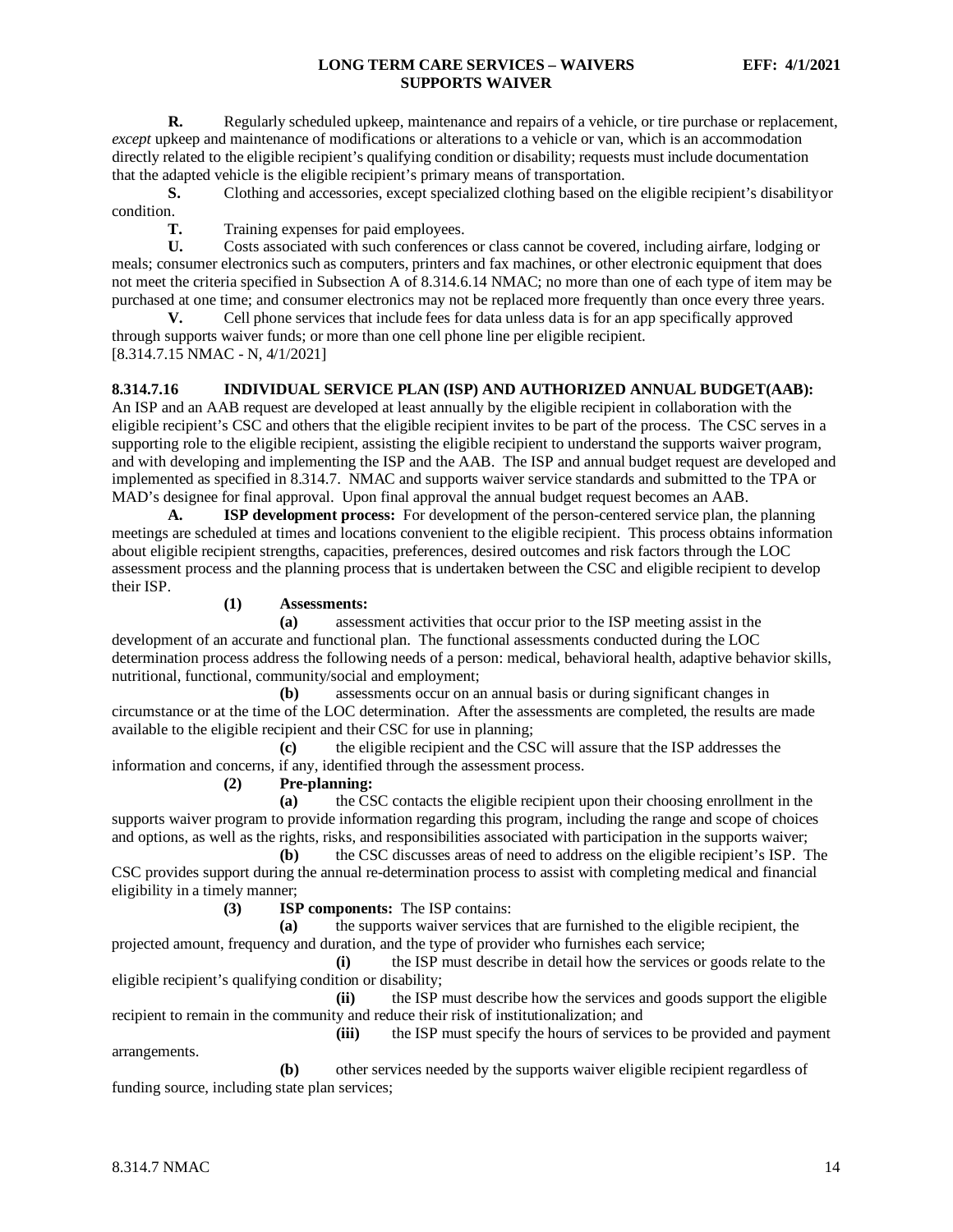**R.** Regularly scheduled upkeep, maintenance and repairs of a vehicle, or tire purchase or replacement, *except* upkeep and maintenance of modifications or alterations to a vehicle or van, which is an accommodation directly related to the eligible recipient's qualifying condition or disability; requests must include documentation that the adapted vehicle is the eligible recipient's primary means of transportation.

**S.** Clothing and accessories, except specialized clothing based on the eligible recipient's disabilityor condition.

**T.** Training expenses for paid employees.

**U.** Costs associated with such conferences or class cannot be covered, including airfare, lodging or meals; consumer electronics such as computers, printers and fax machines, or other electronic equipment that does not meet the criteria specified in Subsection A of 8.314.6.14 NMAC; no more than one of each type of item may be purchased at one time; and consumer electronics may not be replaced more frequently than once every three years.

**V.** Cell phone services that include fees for data unless data is for an app specifically approved through supports waiver funds; or more than one cell phone line per eligible recipient. [8.314.7.15 NMAC - N, 4/1/2021]

## <span id="page-14-0"></span>**8.314.7.16 INDIVIDUAL SERVICE PLAN (ISP) AND AUTHORIZED ANNUAL BUDGET(AAB):**

An ISP and an AAB request are developed at least annually by the eligible recipient in collaboration with the eligible recipient's CSC and others that the eligible recipient invites to be part of the process. The CSC serves in a supporting role to the eligible recipient, assisting the eligible recipient to understand the supports waiver program, and with developing and implementing the ISP and the AAB. The ISP and annual budget request are developed and implemented as specified in 8.314.7. NMAC and supports waiver service standards and submitted to the TPA or MAD's designee for final approval. Upon final approval the annual budget request becomes an AAB.

**A. ISP development process:** For development of the person-centered service plan, the planning meetings are scheduled at times and locations convenient to the eligible recipient. This process obtains information about eligible recipient strengths, capacities, preferences, desired outcomes and risk factors through the LOC assessment process and the planning process that is undertaken between the CSC and eligible recipient to develop their ISP.

#### **(1) Assessments:**

**(a)** assessment activities that occur prior to the ISP meeting assist in the development of an accurate and functional plan. The functional assessments conducted during the LOC determination process address the following needs of a person: medical, behavioral health, adaptive behavior skills, nutritional, functional, community/social and employment;

**(b)** assessments occur on an annual basis or during significant changes in circumstance or at the time of the LOC determination. After the assessments are completed, the results are made available to the eligible recipient and their CSC for use in planning;

**(c)** the eligible recipient and the CSC will assure that the ISP addresses the information and concerns, if any, identified through the assessment process.

**(2) Pre-planning:**

**(a)** the CSC contacts the eligible recipient upon their choosing enrollment in the supports waiver program to provide information regarding this program, including the range and scope of choices and options, as well as the rights, risks, and responsibilities associated with participation in the supports waiver;

**(b)** the CSC discusses areas of need to address on the eligible recipient's ISP. The CSC provides support during the annual re-determination process to assist with completing medical and financial eligibility in a timely manner;

**(3) ISP components:** The ISP contains:

**(a)** the supports waiver services that are furnished to the eligible recipient, the projected amount, frequency and duration, and the type of provider who furnishes each service;

**(i)** the ISP must describe in detail how the services or goods relate to the eligible recipient's qualifying condition or disability;

**(ii)** the ISP must describe how the services and goods support the eligible recipient to remain in the community and reduce their risk of institutionalization; and

**(iii)** the ISP must specify the hours of services to be provided and payment

arrangements.

**(b)** other services needed by the supports waiver eligible recipient regardless of funding source, including state plan services;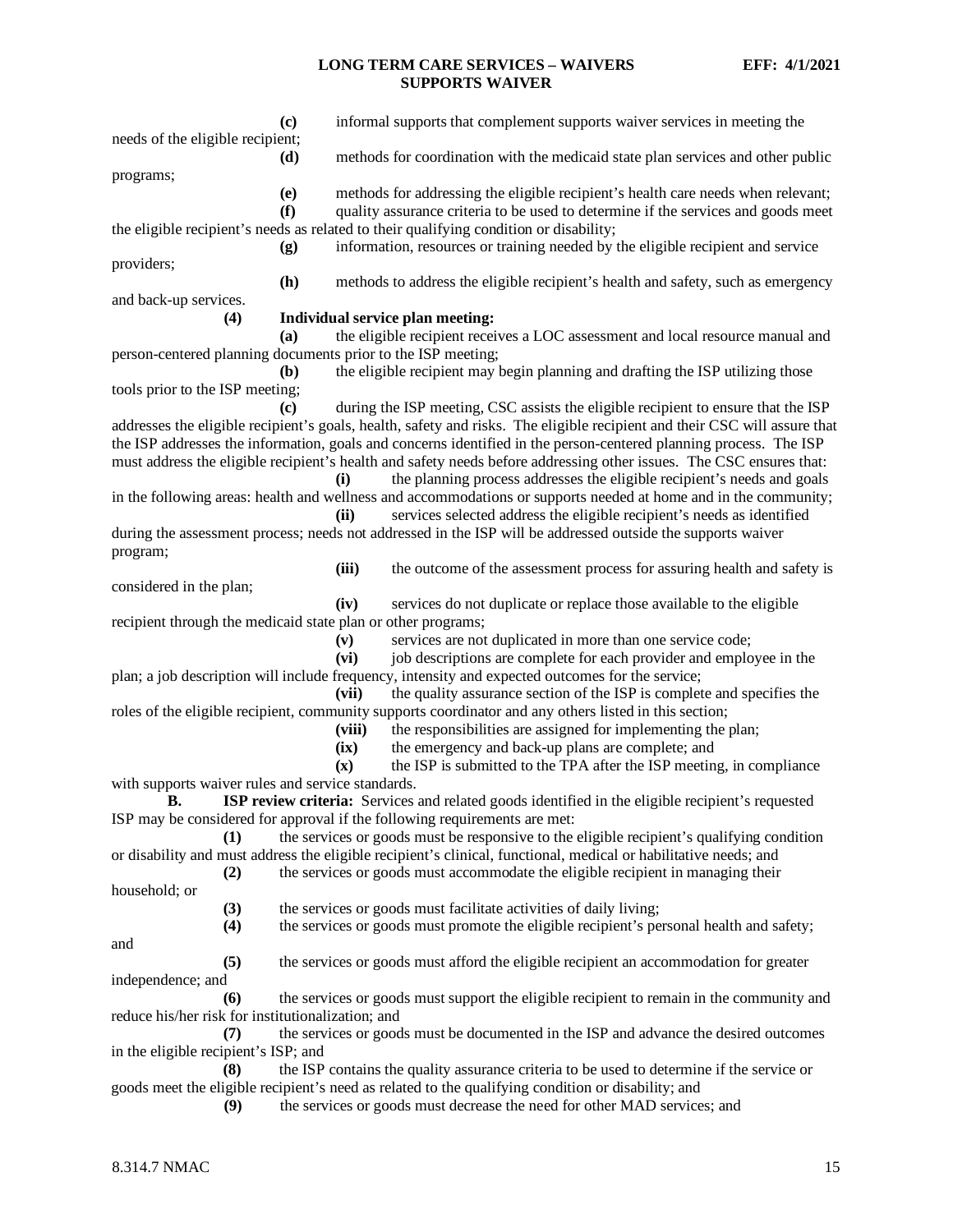| $\left( \mathbf{c} \right)$                                  | informal supports that complement supports waiver services in meeting the                                                 |
|--------------------------------------------------------------|---------------------------------------------------------------------------------------------------------------------------|
| needs of the eligible recipient;                             |                                                                                                                           |
| (d)<br>programs;                                             | methods for coordination with the medicaid state plan services and other public                                           |
| (e)                                                          | methods for addressing the eligible recipient's health care needs when relevant;                                          |
| (f)                                                          | quality assurance criteria to be used to determine if the services and goods meet                                         |
|                                                              | the eligible recipient's needs as related to their qualifying condition or disability;                                    |
| (g)                                                          | information, resources or training needed by the eligible recipient and service                                           |
| providers;                                                   |                                                                                                                           |
| (h)                                                          | methods to address the eligible recipient's health and safety, such as emergency                                          |
| and back-up services.                                        |                                                                                                                           |
| (4)                                                          | Individual service plan meeting:                                                                                          |
| (a)                                                          | the eligible recipient receives a LOC assessment and local resource manual and                                            |
| person-centered planning documents prior to the ISP meeting; |                                                                                                                           |
| (b)                                                          | the eligible recipient may begin planning and drafting the ISP utilizing those                                            |
| tools prior to the ISP meeting;                              |                                                                                                                           |
| (c)                                                          | during the ISP meeting, CSC assists the eligible recipient to ensure that the ISP                                         |
|                                                              | addresses the eligible recipient's goals, health, safety and risks. The eligible recipient and their CSC will assure that |
|                                                              | the ISP addresses the information, goals and concerns identified in the person-centered planning process. The ISP         |
|                                                              | must address the eligible recipient's health and safety needs before addressing other issues. The CSC ensures that:       |
|                                                              | the planning process addresses the eligible recipient's needs and goals<br>(i)                                            |
|                                                              | in the following areas: health and wellness and accommodations or supports needed at home and in the community;           |
|                                                              | services selected address the eligible recipient's needs as identified<br>(ii)                                            |
|                                                              | during the assessment process; needs not addressed in the ISP will be addressed outside the supports waiver               |
| program;                                                     | (iii)<br>the outcome of the assessment process for assuring health and safety is                                          |
| considered in the plan;                                      |                                                                                                                           |
|                                                              | services do not duplicate or replace those available to the eligible<br>(iv)                                              |
| recipient through the medicaid state plan or other programs; |                                                                                                                           |
|                                                              | services are not duplicated in more than one service code;<br>(v)                                                         |
|                                                              | job descriptions are complete for each provider and employee in the<br>(vi)                                               |
|                                                              | plan; a job description will include frequency, intensity and expected outcomes for the service;                          |
|                                                              | (vii)<br>the quality assurance section of the ISP is complete and specifies the                                           |
|                                                              | roles of the eligible recipient, community supports coordinator and any others listed in this section;                    |
|                                                              | (viii)<br>the responsibilities are assigned for implementing the plan;                                                    |
|                                                              | the emergency and back-up plans are complete; and<br>(ix)                                                                 |
|                                                              | $(\mathbf{x})$<br>the ISP is submitted to the TPA after the ISP meeting, in compliance                                    |
| with supports waiver rules and service standards.            |                                                                                                                           |
|                                                              | <b>B.</b> ISP review criteria: Services and related goods identified in the eligible recipient's requested                |
|                                                              | ISP may be considered for approval if the following requirements are met:                                                 |
| (1)                                                          | the services or goods must be responsive to the eligible recipient's qualifying condition                                 |
|                                                              | or disability and must address the eligible recipient's clinical, functional, medical or habilitative needs; and          |
| (2)                                                          | the services or goods must accommodate the eligible recipient in managing their                                           |
| household; or                                                |                                                                                                                           |
| (3)                                                          | the services or goods must facilitate activities of daily living;                                                         |
| (4)                                                          | the services or goods must promote the eligible recipient's personal health and safety;                                   |
| and                                                          |                                                                                                                           |
| (5)                                                          | the services or goods must afford the eligible recipient an accommodation for greater                                     |
| independence; and                                            |                                                                                                                           |
| (6)                                                          | the services or goods must support the eligible recipient to remain in the community and                                  |
| reduce his/her risk for institutionalization; and            |                                                                                                                           |
| (7)                                                          | the services or goods must be documented in the ISP and advance the desired outcomes                                      |
| in the eligible recipient's ISP; and                         |                                                                                                                           |
| (8)                                                          | the ISP contains the quality assurance criteria to be used to determine if the service or                                 |
|                                                              | goods meet the eligible recipient's need as related to the qualifying condition or disability; and                        |
| (9)                                                          | the services or goods must decrease the need for other MAD services; and                                                  |
|                                                              |                                                                                                                           |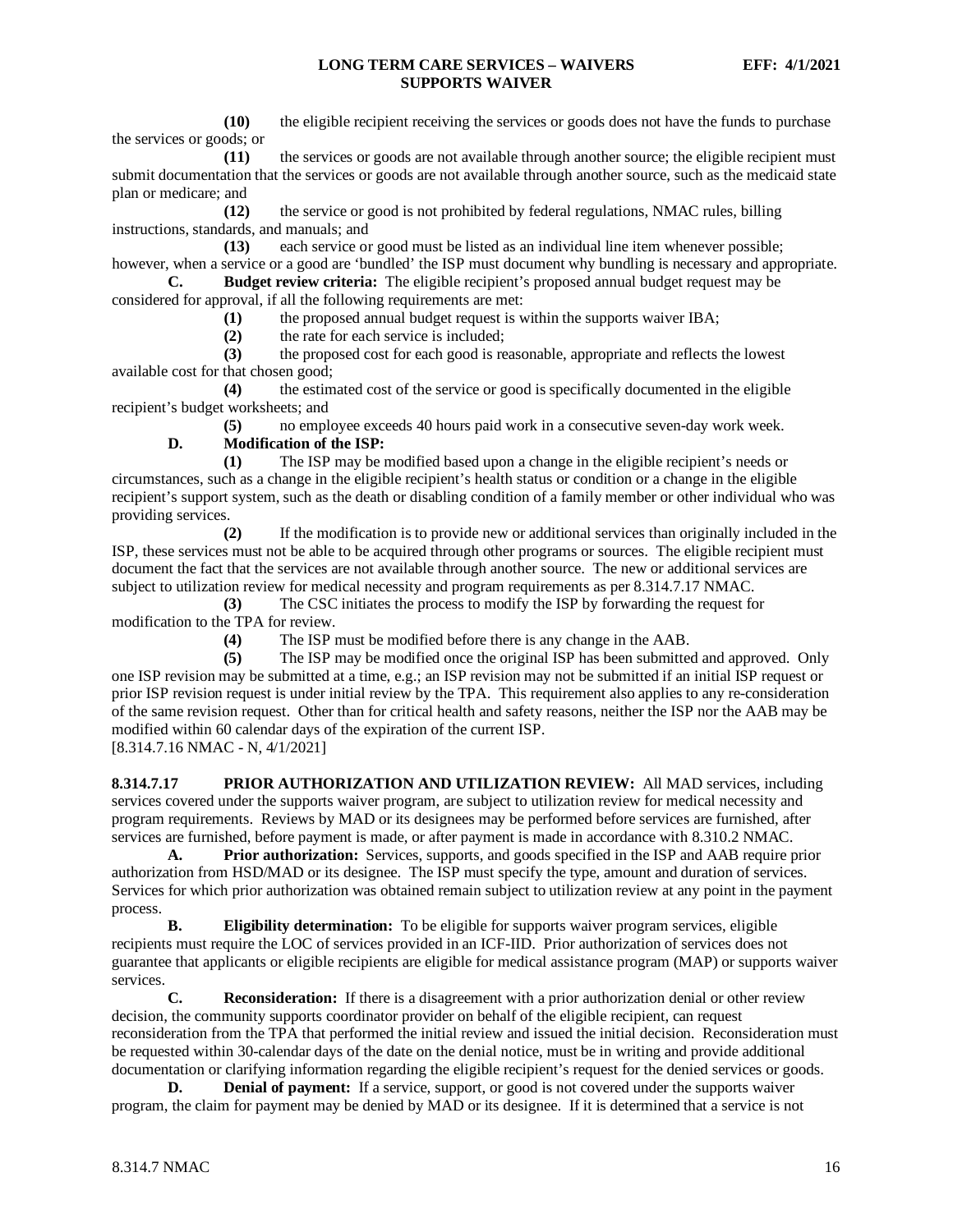**(10)** the eligible recipient receiving the services or goods does not have the funds to purchase the services or goods; or

**(11)** the services or goods are not available through another source; the eligible recipient must submit documentation that the services or goods are not available through another source, such as the medicaid state plan or medicare; and

**(12)** the service or good is not prohibited by federal regulations, NMAC rules, billing instructions, standards, and manuals; and

**(13)** each service or good must be listed as an individual line item whenever possible; however, when a service or a good are 'bundled' the ISP must document why bundling is necessary and appropriate.

**C. Budget review criteria:** The eligible recipient's proposed annual budget request may be considered for approval, if all the following requirements are met:

(1) the proposed annual budget request is within the supports waiver IBA;<br>(2) the rate for each service is included;

**(2)** the rate for each service is included;

**(3)** the proposed cost for each good is reasonable, appropriate and reflects the lowest available cost for that chosen good;

**(4)** the estimated cost of the service or good is specifically documented in the eligible recipient's budget worksheets; and

**(5)** no employee exceeds 40 hours paid work in a consecutive seven-day work week.

## **D. Modification of the ISP:**

**(1)** The ISP may be modified based upon a change in the eligible recipient's needs or circumstances, such as a change in the eligible recipient's health status or condition or a change in the eligible recipient's support system, such as the death or disabling condition of a family member or other individual who was providing services.

**(2)** If the modification is to provide new or additional services than originally included in the ISP, these services must not be able to be acquired through other programs or sources. The eligible recipient must document the fact that the services are not available through another source. The new or additional services are subject to utilization review for medical necessity and program requirements as per 8.314.7.17 NMAC.

**(3)** The CSC initiates the process to modify the ISP by forwarding the request for modification to the TPA for review.

**(4)** The ISP must be modified before there is any change in the AAB.

**(5)** The ISP may be modified once the original ISP has been submitted and approved. Only one ISP revision may be submitted at a time, e.g.; an ISP revision may not be submitted if an initial ISP request or prior ISP revision request is under initial review by the TPA. This requirement also applies to any re-consideration of the same revision request. Other than for critical health and safety reasons, neither the ISP nor the AAB may be modified within 60 calendar days of the expiration of the current ISP. [8.314.7.16 NMAC - N, 4/1/2021]

<span id="page-16-0"></span>**8.314.7.17 PRIOR AUTHORIZATION AND UTILIZATION REVIEW:** All MAD services, including services covered under the supports waiver program, are subject to utilization review for medical necessity and program requirements. Reviews by MAD or its designees may be performed before services are furnished, after

services are furnished, before payment is made, or after payment is made in accordance with 8.310.2 NMAC. **A. Prior authorization:** Services, supports, and goods specified in the ISP and AAB require prior authorization from HSD/MAD or its designee. The ISP must specify the type, amount and duration of services. Services for which prior authorization was obtained remain subject to utilization review at any point in the payment process.

**B. Eligibility determination:** To be eligible for supports waiver program services, eligible recipients must require the LOC of services provided in an ICF-IID. Prior authorization of services does not guarantee that applicants or eligible recipients are eligible for medical assistance program (MAP) or supports waiver services.

**C. Reconsideration:** If there is a disagreement with a prior authorization denial or other review decision, the community supports coordinator provider on behalf of the eligible recipient, can request reconsideration from the TPA that performed the initial review and issued the initial decision. Reconsideration must be requested within 30-calendar days of the date on the denial notice, must be in writing and provide additional documentation or clarifying information regarding the eligible recipient's request for the denied services or goods.

**D. Denial of payment:** If a service, support, or good is not covered under the supports waiver program, the claim for payment may be denied by MAD or its designee. If it is determined that a service is not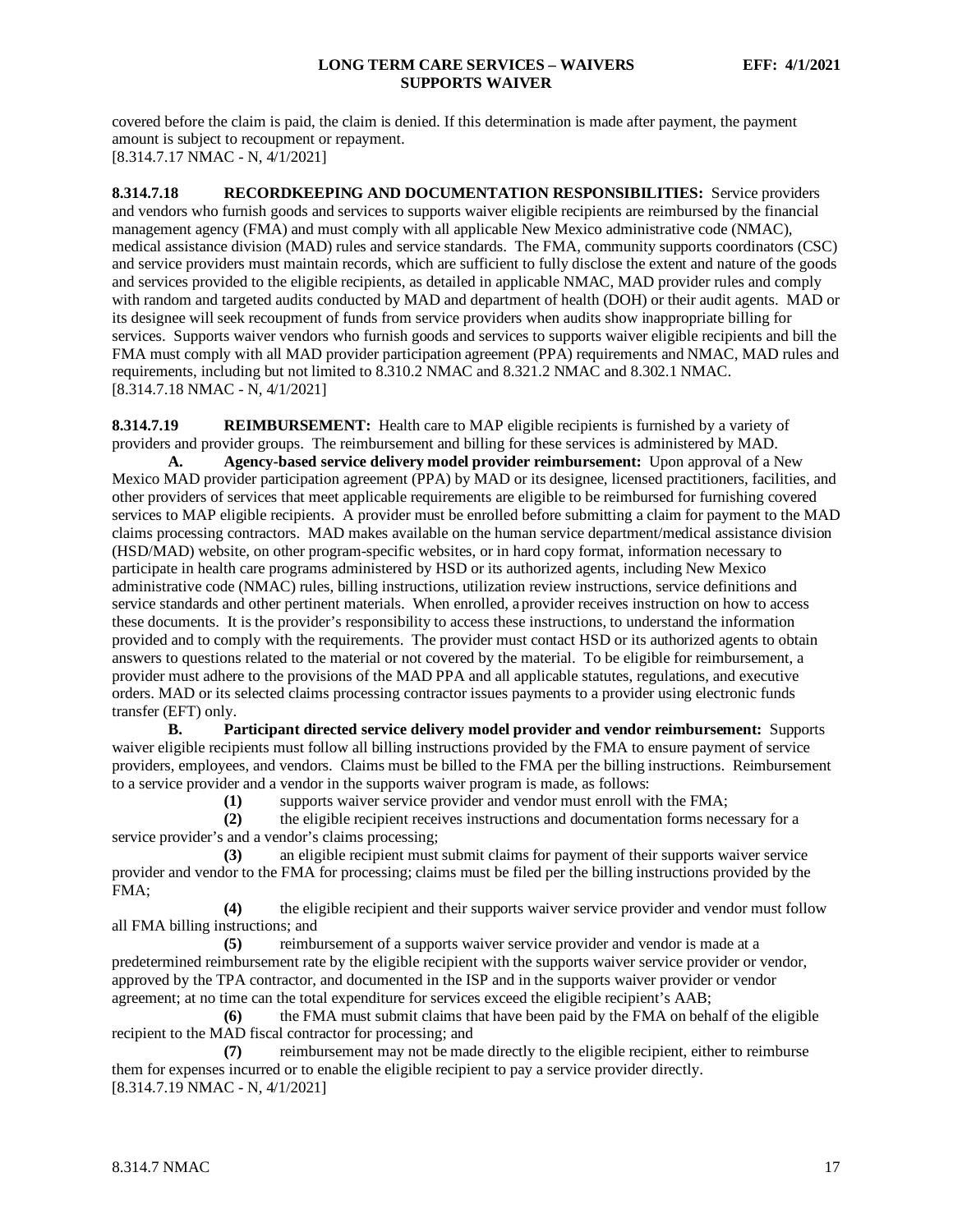covered before the claim is paid, the claim is denied. If this determination is made after payment, the payment amount is subject to recoupment or repayment. [8.314.7.17 NMAC - N, 4/1/2021]

<span id="page-17-0"></span>**8.314.7.18 RECORDKEEPING AND DOCUMENTATION RESPONSIBILITIES:** Service providers and vendors who furnish goods and services to supports waiver eligible recipients are reimbursed by the financial management agency (FMA) and must comply with all applicable New Mexico administrative code (NMAC), medical assistance division (MAD) rules and service standards. The FMA, community supports coordinators (CSC) and service providers must maintain records, which are sufficient to fully disclose the extent and nature of the goods and services provided to the eligible recipients, as detailed in applicable NMAC, MAD provider rules and comply with random and targeted audits conducted by MAD and department of health (DOH) or their audit agents. MAD or its designee will seek recoupment of funds from service providers when audits show inappropriate billing for services. Supports waiver vendors who furnish goods and services to supports waiver eligible recipients and bill the FMA must comply with all MAD provider participation agreement (PPA) requirements and NMAC, MAD rules and requirements, including but not limited to 8.310.2 NMAC and 8.321.2 NMAC and 8.302.1 NMAC. [8.314.7.18 NMAC - N, 4/1/2021]

<span id="page-17-1"></span>**8.314.7.19 <b>REIMBURSEMENT:** Health care to MAP eligible recipients is furnished by a variety of providers and provider groups. The reimbursement and billing for these services is administered by MAD.

**A. Agency-based service delivery model provider reimbursement:** Upon approval of a New Mexico MAD provider participation agreement (PPA) by MAD or its designee, licensed practitioners, facilities, and other providers of services that meet applicable requirements are eligible to be reimbursed for furnishing covered services to MAP eligible recipients. A provider must be enrolled before submitting a claim for payment to the MAD claims processing contractors. MAD makes available on the human service department/medical assistance division (HSD/MAD) website, on other program-specific websites, or in hard copy format, information necessary to participate in health care programs administered by HSD or its authorized agents, including New Mexico administrative code (NMAC) rules, billing instructions, utilization review instructions, service definitions and service standards and other pertinent materials. When enrolled, a provider receives instruction on how to access these documents. It is the provider's responsibility to access these instructions, to understand the information provided and to comply with the requirements. The provider must contact HSD or its authorized agents to obtain answers to questions related to the material or not covered by the material. To be eligible for reimbursement, a provider must adhere to the provisions of the MAD PPA and all applicable statutes, regulations, and executive orders. MAD or its selected claims processing contractor issues payments to a provider using electronic funds transfer (EFT) only.

**B. Participant directed service delivery model provider and vendor reimbursement:** Supports waiver eligible recipients must follow all billing instructions provided by the FMA to ensure payment of service providers, employees, and vendors. Claims must be billed to the FMA per the billing instructions. Reimbursement to a service provider and a vendor in the supports waiver program is made, as follows:

**(1)** supports waiver service provider and vendor must enroll with the FMA;

**(2)** the eligible recipient receives instructions and documentation forms necessary for a service provider's and a vendor's claims processing;

**(3)** an eligible recipient must submit claims for payment of their supports waiver service provider and vendor to the FMA for processing; claims must be filed per the billing instructions provided by the FMA;

**(4)** the eligible recipient and their supports waiver service provider and vendor must follow all FMA billing instructions; and

**(5)** reimbursement of a supports waiver service provider and vendor is made at a predetermined reimbursement rate by the eligible recipient with the supports waiver service provider or vendor, approved by the TPA contractor, and documented in the ISP and in the supports waiver provider or vendor agreement; at no time can the total expenditure for services exceed the eligible recipient's AAB;

**(6)** the FMA must submit claims that have been paid by the FMA on behalf of the eligible recipient to the MAD fiscal contractor for processing; and

**(7)** reimbursement may not be made directly to the eligible recipient, either to reimburse them for expenses incurred or to enable the eligible recipient to pay a service provider directly. [8.314.7.19 NMAC - N, 4/1/2021]